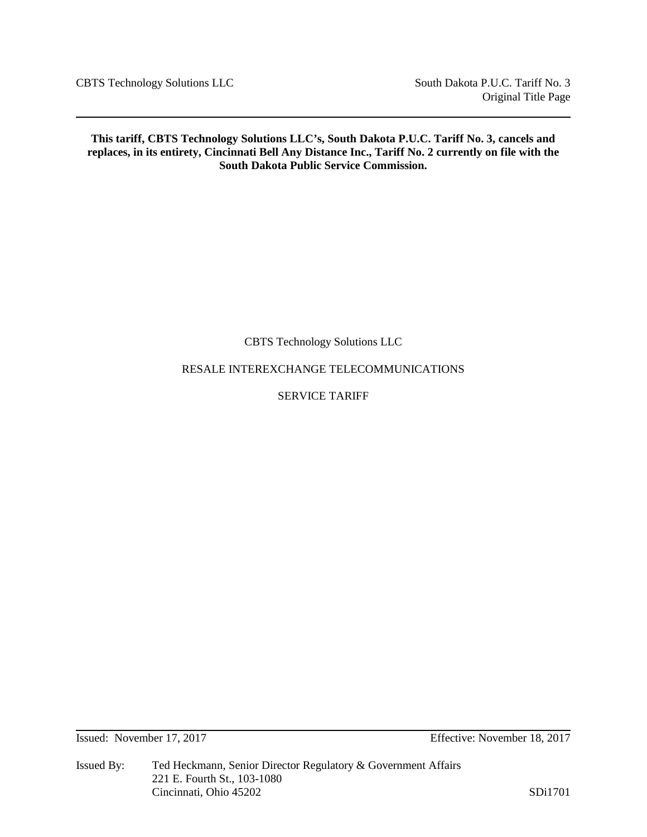CBTS Technology Solutions LLC South Dakota P.U.C. Tariff No. 3

**This tariff, CBTS Technology Solutions LLC's, South Dakota P.U.C. Tariff No. 3, cancels and replaces, in its entirety, Cincinnati Bell Any Distance Inc., Tariff No. 2 currently on file with the South Dakota Public Service Commission.**

CBTS Technology Solutions LLC

RESALE INTEREXCHANGE TELECOMMUNICATIONS

SERVICE TARIFF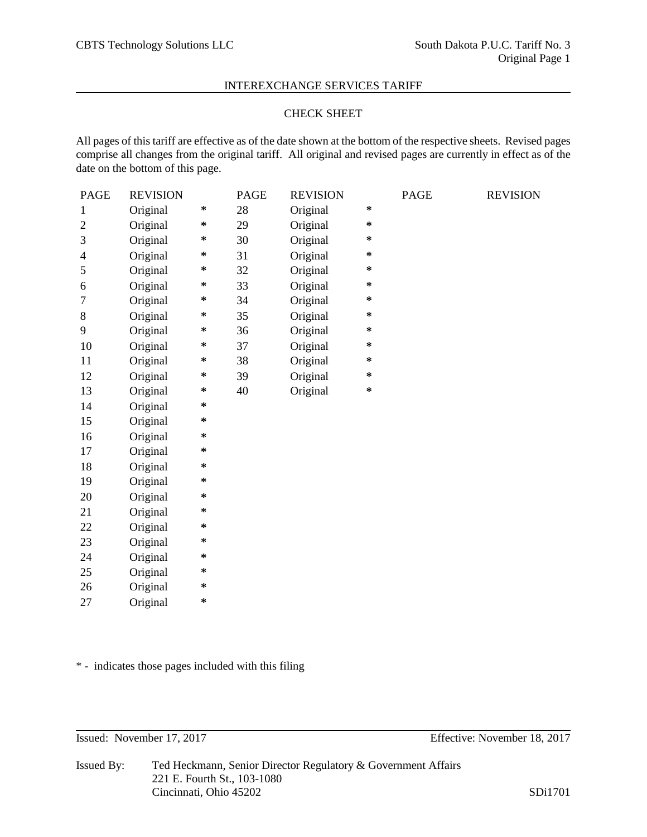# CHECK SHEET

All pages of this tariff are effective as of the date shown at the bottom of the respective sheets. Revised pages comprise all changes from the original tariff. All original and revised pages are currently in effect as of the date on the bottom of this page.

| <b>PAGE</b>  | <b>REVISION</b> |         | <b>PAGE</b> | <b>REVISION</b> |         | <b>PAGE</b> | <b>REVISION</b> |
|--------------|-----------------|---------|-------------|-----------------|---------|-------------|-----------------|
| $\mathbf{1}$ | Original        | $\ast$  | 28          | Original        | $\star$ |             |                 |
| $\mathbf{2}$ | Original        | ∗       | 29          | Original        | $\ast$  |             |                 |
| 3            | Original        | ∗       | 30          | Original        | $\ast$  |             |                 |
| 4            | Original        | $\ast$  | 31          | Original        | $\ast$  |             |                 |
| 5            | Original        | ∗       | 32          | Original        | $\ast$  |             |                 |
| 6            | Original        | ∗       | 33          | Original        | $\ast$  |             |                 |
| 7            | Original        | $\ast$  | 34          | Original        | $\ast$  |             |                 |
| 8            | Original        | ∗       | 35          | Original        | $\ast$  |             |                 |
| 9            | Original        | ∗       | 36          | Original        | $\ast$  |             |                 |
| 10           | Original        | $\ast$  | 37          | Original        | $\ast$  |             |                 |
| 11           | Original        | ∗       | 38          | Original        | $\ast$  |             |                 |
| 12           | Original        | ∗       | 39          | Original        | $\ast$  |             |                 |
| 13           | Original        | $\ast$  | 40          | Original        | $\ast$  |             |                 |
| 14           | Original        | ∗       |             |                 |         |             |                 |
| 15           | Original        | $\ast$  |             |                 |         |             |                 |
| 16           | Original        | $\ast$  |             |                 |         |             |                 |
| 17           | Original        | ∗       |             |                 |         |             |                 |
| 18           | Original        | ∗       |             |                 |         |             |                 |
| 19           | Original        | $\ast$  |             |                 |         |             |                 |
| 20           | Original        | $\ast$  |             |                 |         |             |                 |
| 21           | Original        | *       |             |                 |         |             |                 |
| 22           | Original        | $\ast$  |             |                 |         |             |                 |
| 23           | Original        | ∗       |             |                 |         |             |                 |
| 24           | Original        | ∗       |             |                 |         |             |                 |
| 25           | Original        | *       |             |                 |         |             |                 |
| 26           | Original        | *       |             |                 |         |             |                 |
| 27           | Original        | $\star$ |             |                 |         |             |                 |

\* - indicates those pages included with this filing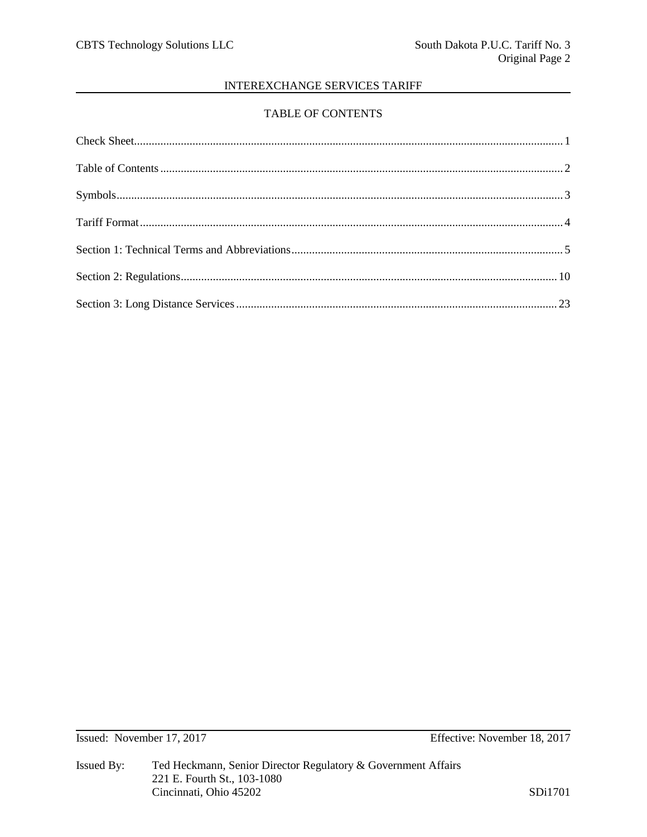# TABLE OF CONTENTS

Issued: November 17, 2017

Effective: November 18, 2017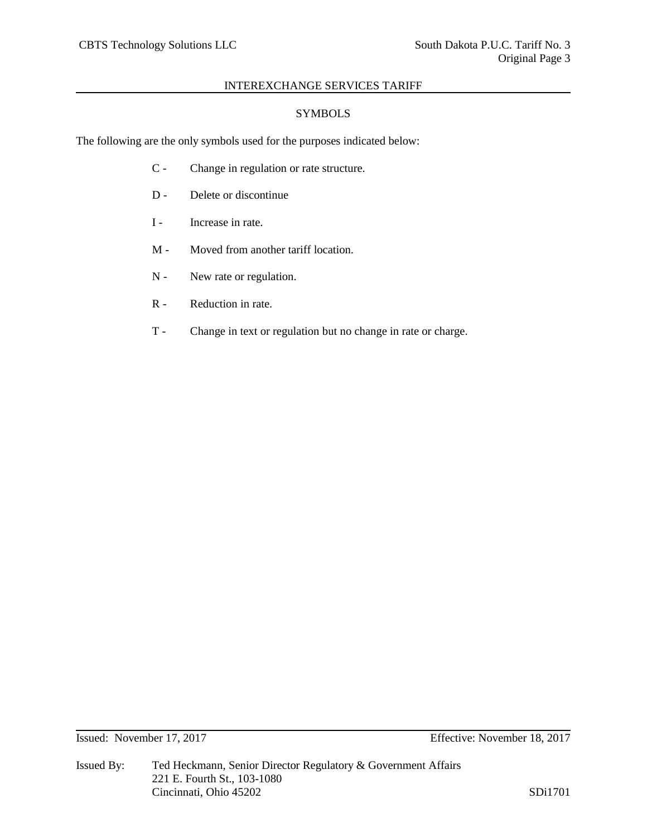# **SYMBOLS**

The following are the only symbols used for the purposes indicated below:

- C Change in regulation or rate structure.
- D Delete or discontinue
- I Increase in rate.
- M Moved from another tariff location.
- N New rate or regulation.
- R Reduction in rate.
- T Change in text or regulation but no change in rate or charge.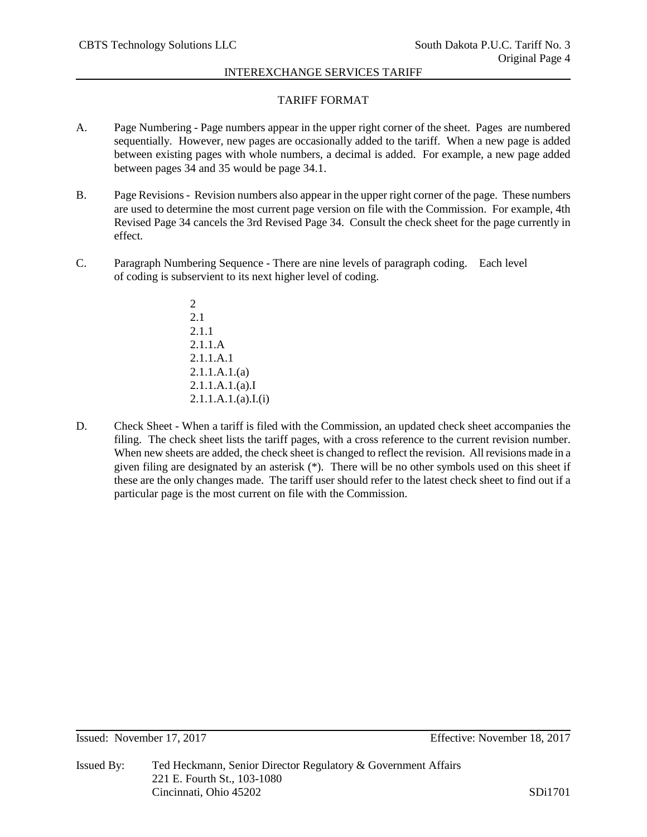# TARIFF FORMAT

- A. Page Numbering Page numbers appear in the upper right corner of the sheet. Pages are numbered sequentially. However, new pages are occasionally added to the tariff. When a new page is added between existing pages with whole numbers, a decimal is added. For example, a new page added between pages 34 and 35 would be page 34.1.
- B. Page Revisions- Revision numbers also appear in the upper right corner of the page. These numbers are used to determine the most current page version on file with the Commission. For example, 4th Revised Page 34 cancels the 3rd Revised Page 34. Consult the check sheet for the page currently in effect.
- C. Paragraph Numbering Sequence There are nine levels of paragraph coding. Each level of coding is subservient to its next higher level of coding.
	- 2 2.1 2.1.1 2.1.1.A 2.1.1.A.1 2.1.1.A.1.(a) 2.1.1.A.1.(a).I 2.1.1.A.1.(a).I.(i)
- D. Check Sheet When a tariff is filed with the Commission, an updated check sheet accompanies the filing. The check sheet lists the tariff pages, with a cross reference to the current revision number. When new sheets are added, the check sheet is changed to reflect the revision. All revisions made in a given filing are designated by an asterisk (\*). There will be no other symbols used on this sheet if these are the only changes made. The tariff user should refer to the latest check sheet to find out if a particular page is the most current on file with the Commission.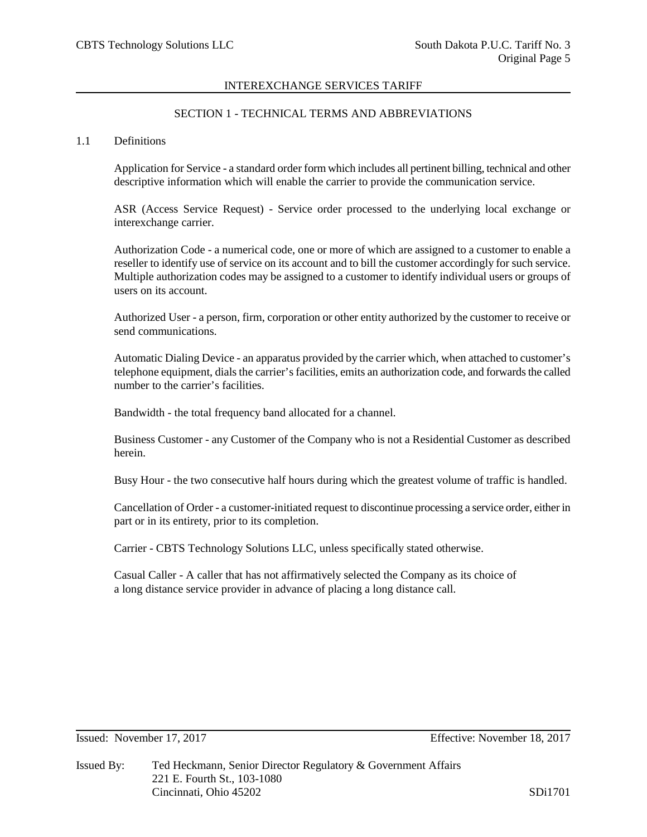# SECTION 1 - TECHNICAL TERMS AND ABBREVIATIONS

#### 1.1 Definitions

Application for Service - a standard order form which includes all pertinent billing, technical and other descriptive information which will enable the carrier to provide the communication service.

ASR (Access Service Request) - Service order processed to the underlying local exchange or interexchange carrier.

Authorization Code - a numerical code, one or more of which are assigned to a customer to enable a reseller to identify use of service on its account and to bill the customer accordingly for such service. Multiple authorization codes may be assigned to a customer to identify individual users or groups of users on its account.

Authorized User - a person, firm, corporation or other entity authorized by the customer to receive or send communications.

Automatic Dialing Device - an apparatus provided by the carrier which, when attached to customer's telephone equipment, dials the carrier's facilities, emits an authorization code, and forwards the called number to the carrier's facilities.

Bandwidth - the total frequency band allocated for a channel.

Business Customer - any Customer of the Company who is not a Residential Customer as described herein.

Busy Hour - the two consecutive half hours during which the greatest volume of traffic is handled.

Cancellation of Order - a customer-initiated request to discontinue processing a service order, either in part or in its entirety, prior to its completion.

Carrier - CBTS Technology Solutions LLC, unless specifically stated otherwise.

Casual Caller - A caller that has not affirmatively selected the Company as its choice of a long distance service provider in advance of placing a long distance call.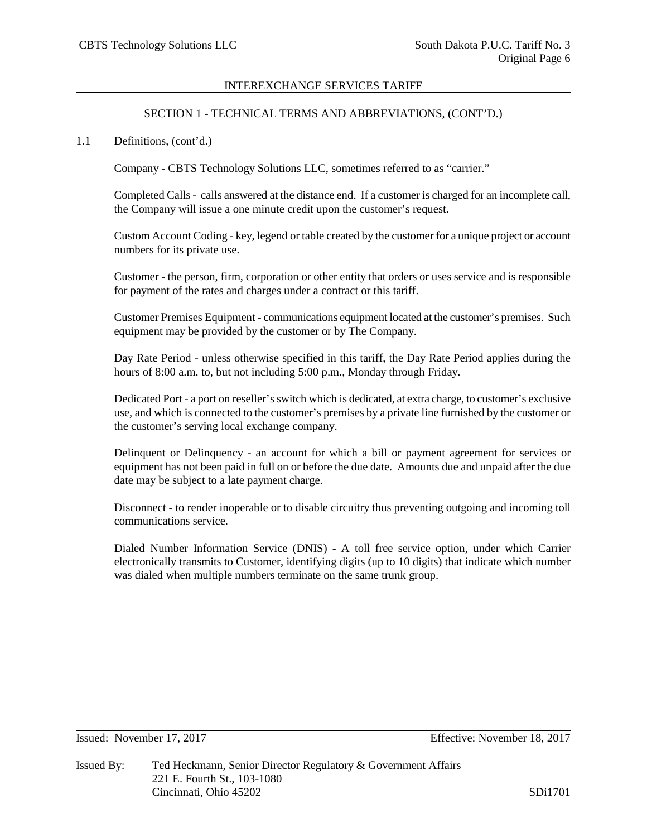# SECTION 1 - TECHNICAL TERMS AND ABBREVIATIONS, (CONT'D.)

## 1.1 Definitions, (cont'd.)

Company - CBTS Technology Solutions LLC, sometimes referred to as "carrier."

Completed Calls- calls answered at the distance end. If a customer is charged for an incomplete call, the Company will issue a one minute credit upon the customer's request.

Custom Account Coding - key, legend or table created by the customer for a unique project or account numbers for its private use.

Customer - the person, firm, corporation or other entity that orders or uses service and is responsible for payment of the rates and charges under a contract or this tariff.

Customer Premises Equipment - communications equipment located at the customer's premises. Such equipment may be provided by the customer or by The Company.

Day Rate Period - unless otherwise specified in this tariff, the Day Rate Period applies during the hours of 8:00 a.m. to, but not including 5:00 p.m., Monday through Friday.

Dedicated Port - a port on reseller's switch which is dedicated, at extra charge, to customer's exclusive use, and which is connected to the customer's premises by a private line furnished by the customer or the customer's serving local exchange company.

Delinquent or Delinquency - an account for which a bill or payment agreement for services or equipment has not been paid in full on or before the due date. Amounts due and unpaid after the due date may be subject to a late payment charge.

Disconnect - to render inoperable or to disable circuitry thus preventing outgoing and incoming toll communications service.

Dialed Number Information Service (DNIS) - A toll free service option, under which Carrier electronically transmits to Customer, identifying digits (up to 10 digits) that indicate which number was dialed when multiple numbers terminate on the same trunk group.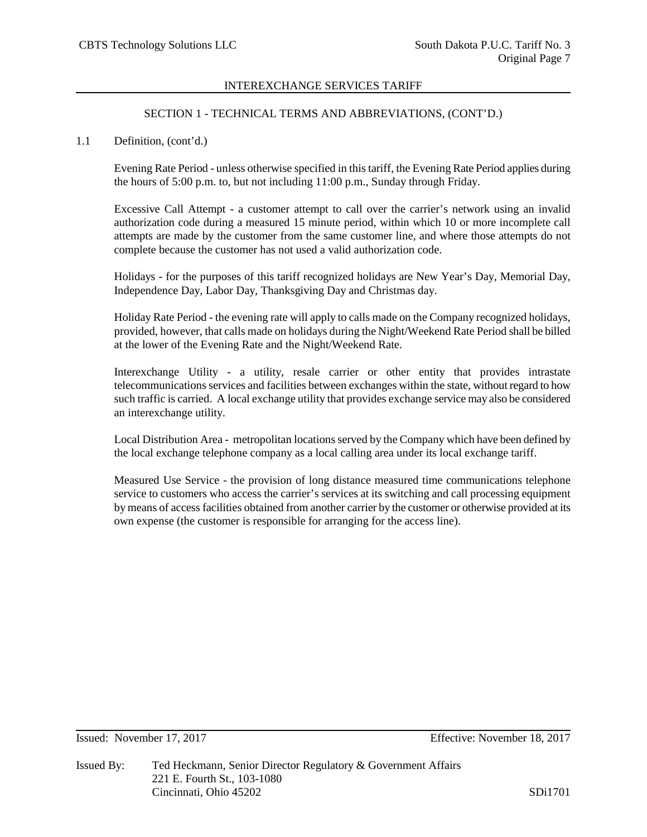## SECTION 1 - TECHNICAL TERMS AND ABBREVIATIONS, (CONT'D.)

## 1.1 Definition, (cont'd.)

Evening Rate Period - unless otherwise specified in this tariff, the Evening Rate Period applies during the hours of 5:00 p.m. to, but not including 11:00 p.m., Sunday through Friday.

Excessive Call Attempt - a customer attempt to call over the carrier's network using an invalid authorization code during a measured 15 minute period, within which 10 or more incomplete call attempts are made by the customer from the same customer line, and where those attempts do not complete because the customer has not used a valid authorization code.

Holidays - for the purposes of this tariff recognized holidays are New Year's Day, Memorial Day, Independence Day, Labor Day, Thanksgiving Day and Christmas day.

Holiday Rate Period - the evening rate will apply to calls made on the Company recognized holidays, provided, however, that calls made on holidays during the Night/Weekend Rate Period shall be billed at the lower of the Evening Rate and the Night/Weekend Rate.

Interexchange Utility - a utility, resale carrier or other entity that provides intrastate telecommunications services and facilities between exchanges within the state, without regard to how such traffic is carried. A local exchange utility that provides exchange service may also be considered an interexchange utility.

Local Distribution Area - metropolitan locations served by the Company which have been defined by the local exchange telephone company as a local calling area under its local exchange tariff.

Measured Use Service - the provision of long distance measured time communications telephone service to customers who access the carrier's services at its switching and call processing equipment by means of access facilities obtained from another carrier by the customer or otherwise provided at its own expense (the customer is responsible for arranging for the access line).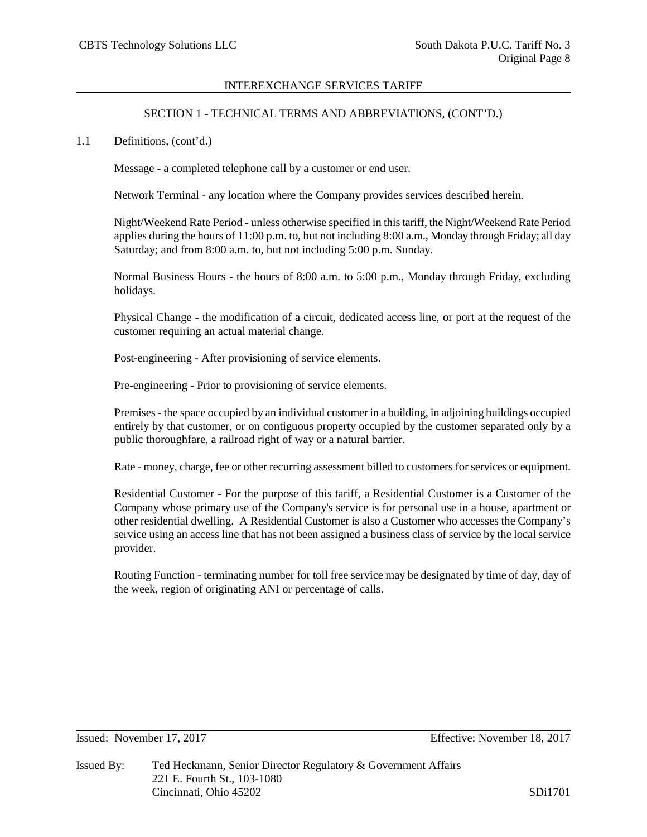# SECTION 1 - TECHNICAL TERMS AND ABBREVIATIONS, (CONT'D.)

1.1 Definitions, (cont'd.)

Message - a completed telephone call by a customer or end user.

Network Terminal - any location where the Company provides services described herein.

Night/Weekend Rate Period - unless otherwise specified in this tariff, the Night/Weekend Rate Period applies during the hours of 11:00 p.m. to, but not including 8:00 a.m., Monday through Friday; all day Saturday; and from 8:00 a.m. to, but not including 5:00 p.m. Sunday.

Normal Business Hours - the hours of 8:00 a.m. to 5:00 p.m., Monday through Friday, excluding holidays.

Physical Change - the modification of a circuit, dedicated access line, or port at the request of the customer requiring an actual material change.

Post-engineering - After provisioning of service elements.

Pre-engineering - Prior to provisioning of service elements.

Premises - the space occupied by an individual customer in a building, in adjoining buildings occupied entirely by that customer, or on contiguous property occupied by the customer separated only by a public thoroughfare, a railroad right of way or a natural barrier.

Rate - money, charge, fee or other recurring assessment billed to customers for services or equipment.

Residential Customer - For the purpose of this tariff, a Residential Customer is a Customer of the Company whose primary use of the Company's service is for personal use in a house, apartment or other residential dwelling. A Residential Customer is also a Customer who accesses the Company's service using an access line that has not been assigned a business class of service by the local service provider.

Routing Function - terminating number for toll free service may be designated by time of day, day of the week, region of originating ANI or percentage of calls.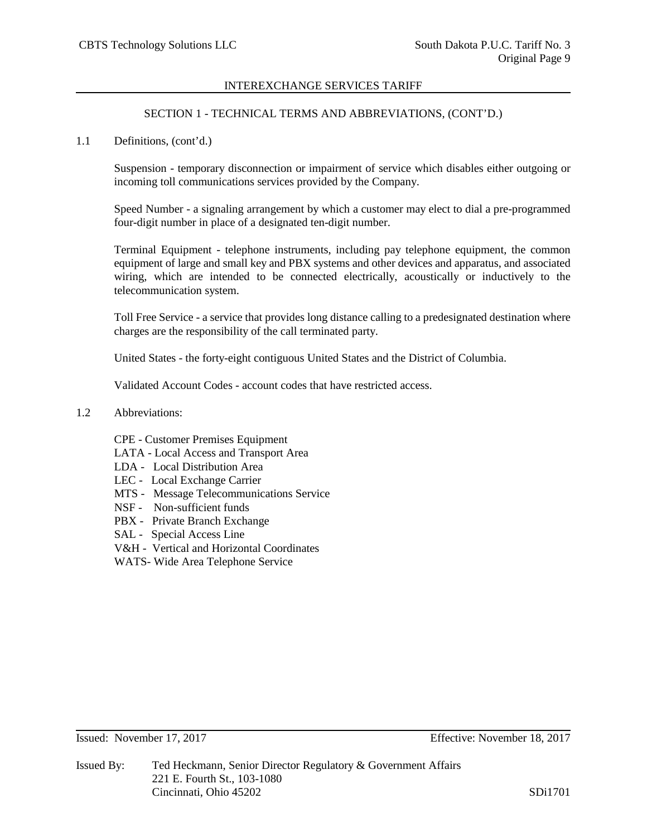# SECTION 1 - TECHNICAL TERMS AND ABBREVIATIONS, (CONT'D.)

1.1 Definitions, (cont'd.)

Suspension - temporary disconnection or impairment of service which disables either outgoing or incoming toll communications services provided by the Company.

Speed Number - a signaling arrangement by which a customer may elect to dial a pre-programmed four-digit number in place of a designated ten-digit number.

Terminal Equipment - telephone instruments, including pay telephone equipment, the common equipment of large and small key and PBX systems and other devices and apparatus, and associated wiring, which are intended to be connected electrically, acoustically or inductively to the telecommunication system.

Toll Free Service - a service that provides long distance calling to a predesignated destination where charges are the responsibility of the call terminated party.

United States - the forty-eight contiguous United States and the District of Columbia.

Validated Account Codes - account codes that have restricted access.

- 1.2 Abbreviations:
	- CPE Customer Premises Equipment
	- LATA Local Access and Transport Area
	- LDA Local Distribution Area
	- LEC Local Exchange Carrier
	- MTS Message Telecommunications Service
	- NSF Non-sufficient funds
	- PBX Private Branch Exchange
	- SAL Special Access Line
	- V&H Vertical and Horizontal Coordinates
	- WATS- Wide Area Telephone Service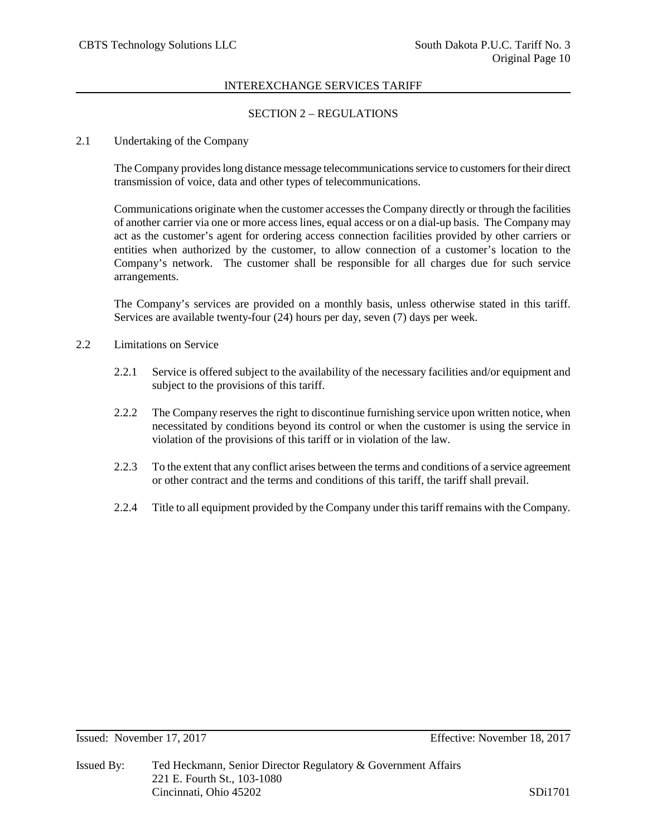## SECTION 2 – REGULATIONS

## 2.1 Undertaking of the Company

The Company provides long distance message telecommunications service to customers for their direct transmission of voice, data and other types of telecommunications.

Communications originate when the customer accesses the Company directly or through the facilities of another carrier via one or more access lines, equal access or on a dial-up basis. The Company may act as the customer's agent for ordering access connection facilities provided by other carriers or entities when authorized by the customer, to allow connection of a customer's location to the Company's network. The customer shall be responsible for all charges due for such service arrangements.

The Company's services are provided on a monthly basis, unless otherwise stated in this tariff. Services are available twenty-four (24) hours per day, seven (7) days per week.

- 2.2 Limitations on Service
	- 2.2.1 Service is offered subject to the availability of the necessary facilities and/or equipment and subject to the provisions of this tariff.
	- 2.2.2 The Company reserves the right to discontinue furnishing service upon written notice, when necessitated by conditions beyond its control or when the customer is using the service in violation of the provisions of this tariff or in violation of the law.
	- 2.2.3 To the extent that any conflict arises between the terms and conditions of a service agreement or other contract and the terms and conditions of this tariff, the tariff shall prevail.
	- 2.2.4 Title to all equipment provided by the Company under this tariff remains with the Company.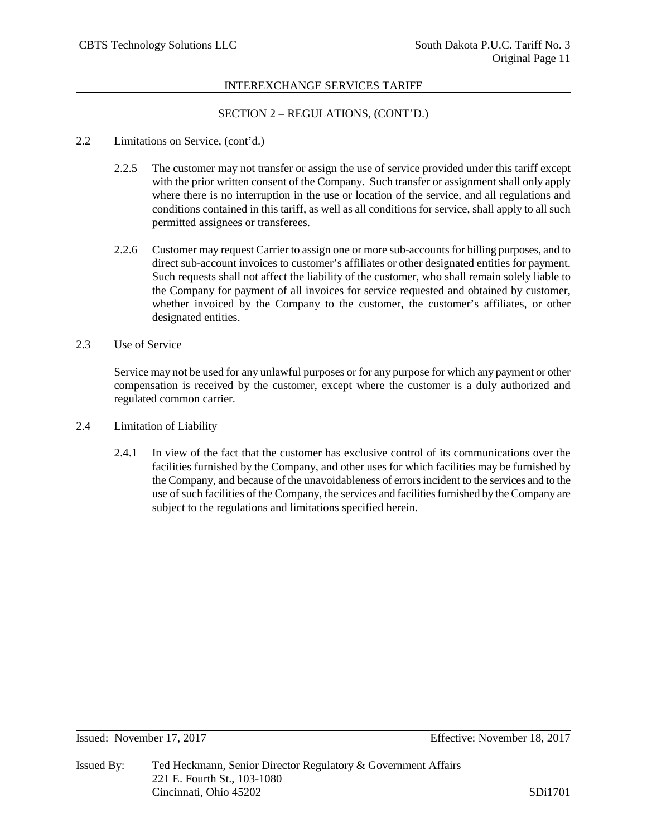# SECTION 2 – REGULATIONS, (CONT'D.)

- 2.2 Limitations on Service, (cont'd.)
	- 2.2.5 The customer may not transfer or assign the use of service provided under this tariff except with the prior written consent of the Company. Such transfer or assignment shall only apply where there is no interruption in the use or location of the service, and all regulations and conditions contained in this tariff, as well as all conditions for service, shall apply to all such permitted assignees or transferees.
	- 2.2.6 Customer may request Carrier to assign one or more sub-accounts for billing purposes, and to direct sub-account invoices to customer's affiliates or other designated entities for payment. Such requests shall not affect the liability of the customer, who shall remain solely liable to the Company for payment of all invoices for service requested and obtained by customer, whether invoiced by the Company to the customer, the customer's affiliates, or other designated entities.
- 2.3 Use of Service

Service may not be used for any unlawful purposes or for any purpose for which any payment or other compensation is received by the customer, except where the customer is a duly authorized and regulated common carrier.

- 2.4 Limitation of Liability
	- 2.4.1 In view of the fact that the customer has exclusive control of its communications over the facilities furnished by the Company, and other uses for which facilities may be furnished by the Company, and because of the unavoidableness of errors incident to the services and to the use of such facilities of the Company, the services and facilities furnished by the Company are subject to the regulations and limitations specified herein.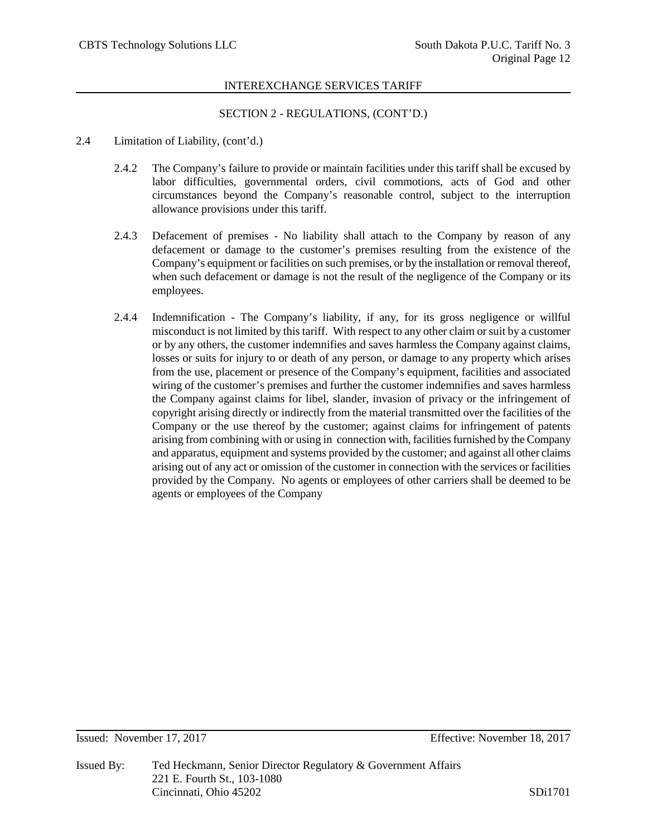## SECTION 2 - REGULATIONS, (CONT'D.)

- 2.4 Limitation of Liability, (cont'd.)
	- 2.4.2 The Company's failure to provide or maintain facilities under this tariff shall be excused by labor difficulties, governmental orders, civil commotions, acts of God and other circumstances beyond the Company's reasonable control, subject to the interruption allowance provisions under this tariff.
	- 2.4.3 Defacement of premises No liability shall attach to the Company by reason of any defacement or damage to the customer's premises resulting from the existence of the Company's equipment or facilities on such premises, or by the installation or removal thereof, when such defacement or damage is not the result of the negligence of the Company or its employees.
	- 2.4.4 Indemnification The Company's liability, if any, for its gross negligence or willful misconduct is not limited by this tariff. With respect to any other claim or suit by a customer or by any others, the customer indemnifies and saves harmless the Company against claims, losses or suits for injury to or death of any person, or damage to any property which arises from the use, placement or presence of the Company's equipment, facilities and associated wiring of the customer's premises and further the customer indemnifies and saves harmless the Company against claims for libel, slander, invasion of privacy or the infringement of copyright arising directly or indirectly from the material transmitted over the facilities of the Company or the use thereof by the customer; against claims for infringement of patents arising from combining with or using in connection with, facilities furnished by the Company and apparatus, equipment and systems provided by the customer; and against all other claims arising out of any act or omission of the customer in connection with the services or facilities provided by the Company. No agents or employees of other carriers shall be deemed to be agents or employees of the Company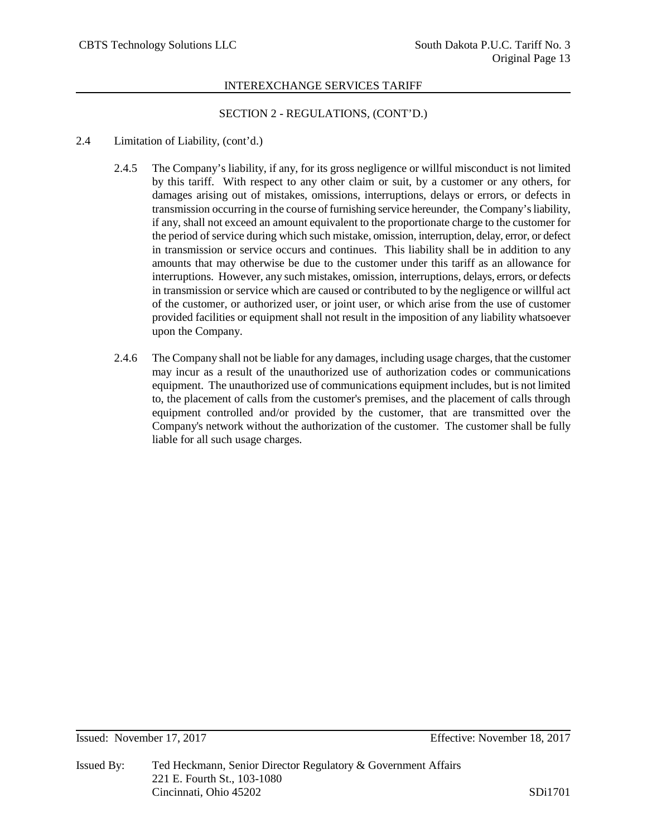# SECTION 2 - REGULATIONS, (CONT'D.)

## 2.4 Limitation of Liability, (cont'd.)

- 2.4.5 The Company's liability, if any, for its gross negligence or willful misconduct is not limited by this tariff. With respect to any other claim or suit, by a customer or any others, for damages arising out of mistakes, omissions, interruptions, delays or errors, or defects in transmission occurring in the course of furnishing service hereunder, the Company's liability, if any, shall not exceed an amount equivalent to the proportionate charge to the customer for the period of service during which such mistake, omission, interruption, delay, error, or defect in transmission or service occurs and continues. This liability shall be in addition to any amounts that may otherwise be due to the customer under this tariff as an allowance for interruptions. However, any such mistakes, omission, interruptions, delays, errors, or defects in transmission or service which are caused or contributed to by the negligence or willful act of the customer, or authorized user, or joint user, or which arise from the use of customer provided facilities or equipment shall not result in the imposition of any liability whatsoever upon the Company.
- 2.4.6 The Company shall not be liable for any damages, including usage charges, that the customer may incur as a result of the unauthorized use of authorization codes or communications equipment. The unauthorized use of communications equipment includes, but is not limited to, the placement of calls from the customer's premises, and the placement of calls through equipment controlled and/or provided by the customer, that are transmitted over the Company's network without the authorization of the customer. The customer shall be fully liable for all such usage charges.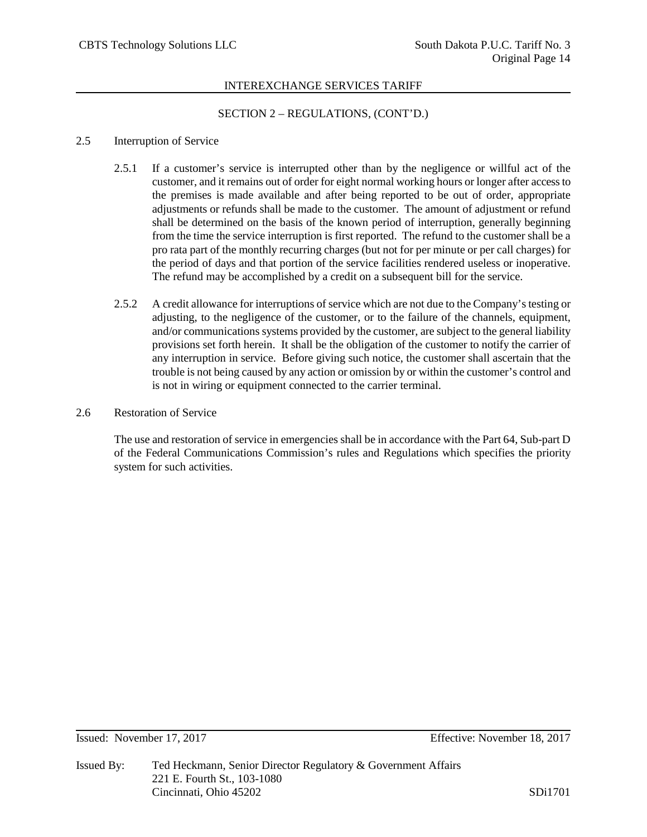## SECTION 2 – REGULATIONS, (CONT'D.)

#### 2.5 Interruption of Service

- 2.5.1 If a customer's service is interrupted other than by the negligence or willful act of the customer, and it remains out of order for eight normal working hours or longer after access to the premises is made available and after being reported to be out of order, appropriate adjustments or refunds shall be made to the customer. The amount of adjustment or refund shall be determined on the basis of the known period of interruption, generally beginning from the time the service interruption is first reported. The refund to the customer shall be a pro rata part of the monthly recurring charges (but not for per minute or per call charges) for the period of days and that portion of the service facilities rendered useless or inoperative. The refund may be accomplished by a credit on a subsequent bill for the service.
- 2.5.2 A credit allowance for interruptions of service which are not due to the Company's testing or adjusting, to the negligence of the customer, or to the failure of the channels, equipment, and/or communications systems provided by the customer, are subject to the general liability provisions set forth herein. It shall be the obligation of the customer to notify the carrier of any interruption in service. Before giving such notice, the customer shall ascertain that the trouble is not being caused by any action or omission by or within the customer's control and is not in wiring or equipment connected to the carrier terminal.
- 2.6 Restoration of Service

The use and restoration of service in emergencies shall be in accordance with the Part 64, Sub-part D of the Federal Communications Commission's rules and Regulations which specifies the priority system for such activities.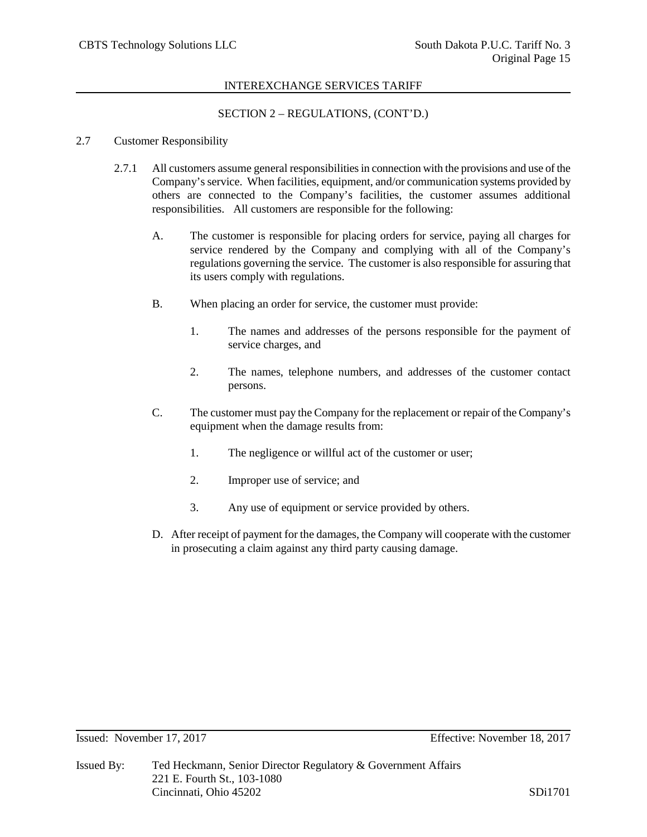## SECTION 2 – REGULATIONS, (CONT'D.)

#### 2.7 Customer Responsibility

- 2.7.1 All customers assume general responsibilities in connection with the provisions and use of the Company's service. When facilities, equipment, and/or communication systems provided by others are connected to the Company's facilities, the customer assumes additional responsibilities. All customers are responsible for the following:
	- A. The customer is responsible for placing orders for service, paying all charges for service rendered by the Company and complying with all of the Company's regulations governing the service. The customer is also responsible for assuring that its users comply with regulations.
	- B. When placing an order for service, the customer must provide:
		- 1. The names and addresses of the persons responsible for the payment of service charges, and
		- 2. The names, telephone numbers, and addresses of the customer contact persons.
	- C. The customer must pay the Company for the replacement or repair of the Company's equipment when the damage results from:
		- 1. The negligence or willful act of the customer or user;
		- 2. Improper use of service; and
		- 3. Any use of equipment or service provided by others.
	- D. After receipt of payment for the damages, the Company will cooperate with the customer in prosecuting a claim against any third party causing damage.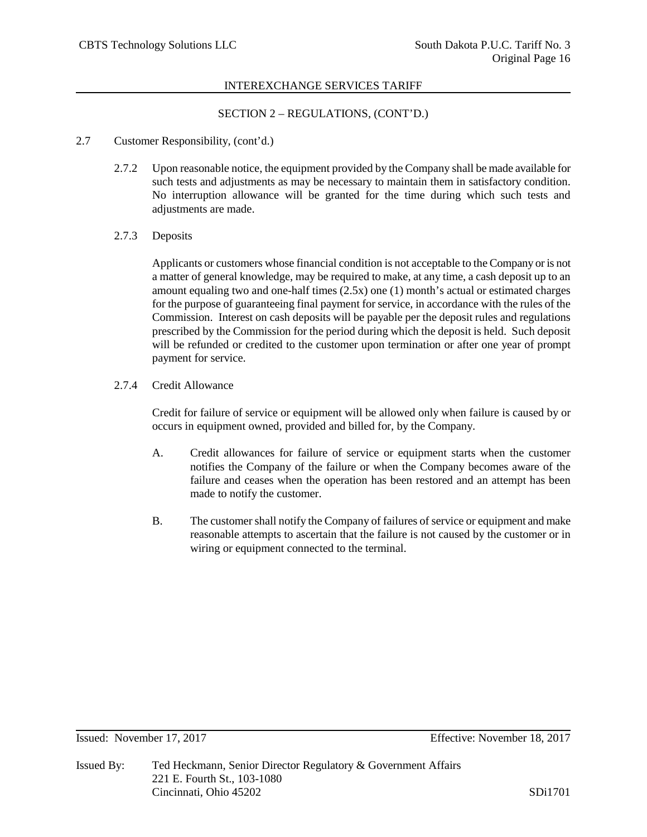# SECTION 2 – REGULATIONS, (CONT'D.)

- 2.7 Customer Responsibility, (cont'd.)
	- 2.7.2 Upon reasonable notice, the equipment provided by the Company shall be made available for such tests and adjustments as may be necessary to maintain them in satisfactory condition. No interruption allowance will be granted for the time during which such tests and adjustments are made.
	- 2.7.3 Deposits

Applicants or customers whose financial condition is not acceptable to the Company or is not a matter of general knowledge, may be required to make, at any time, a cash deposit up to an amount equaling two and one-half times (2.5x) one (1) month's actual or estimated charges for the purpose of guaranteeing final payment for service, in accordance with the rules of the Commission. Interest on cash deposits will be payable per the deposit rules and regulations prescribed by the Commission for the period during which the deposit is held. Such deposit will be refunded or credited to the customer upon termination or after one year of prompt payment for service.

2.7.4 Credit Allowance

Credit for failure of service or equipment will be allowed only when failure is caused by or occurs in equipment owned, provided and billed for, by the Company.

- A. Credit allowances for failure of service or equipment starts when the customer notifies the Company of the failure or when the Company becomes aware of the failure and ceases when the operation has been restored and an attempt has been made to notify the customer.
- B. The customer shall notify the Company of failures of service or equipment and make reasonable attempts to ascertain that the failure is not caused by the customer or in wiring or equipment connected to the terminal.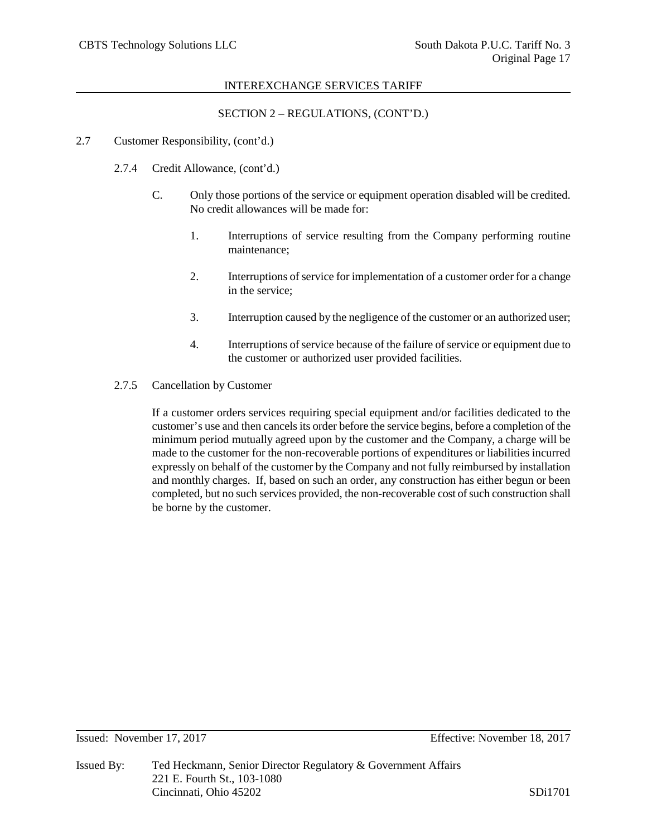SECTION 2 – REGULATIONS, (CONT'D.)

#### 2.7 Customer Responsibility, (cont'd.)

- 2.7.4 Credit Allowance, (cont'd.)
	- C. Only those portions of the service or equipment operation disabled will be credited. No credit allowances will be made for:
		- 1. Interruptions of service resulting from the Company performing routine maintenance;
		- 2. Interruptions of service for implementation of a customer order for a change in the service;
		- 3. Interruption caused by the negligence of the customer or an authorized user;
		- 4. Interruptions of service because of the failure of service or equipment due to the customer or authorized user provided facilities.
- 2.7.5 Cancellation by Customer

If a customer orders services requiring special equipment and/or facilities dedicated to the customer's use and then cancels its order before the service begins, before a completion of the minimum period mutually agreed upon by the customer and the Company, a charge will be made to the customer for the non-recoverable portions of expenditures or liabilities incurred expressly on behalf of the customer by the Company and not fully reimbursed by installation and monthly charges. If, based on such an order, any construction has either begun or been completed, but no such services provided, the non-recoverable cost of such construction shall be borne by the customer.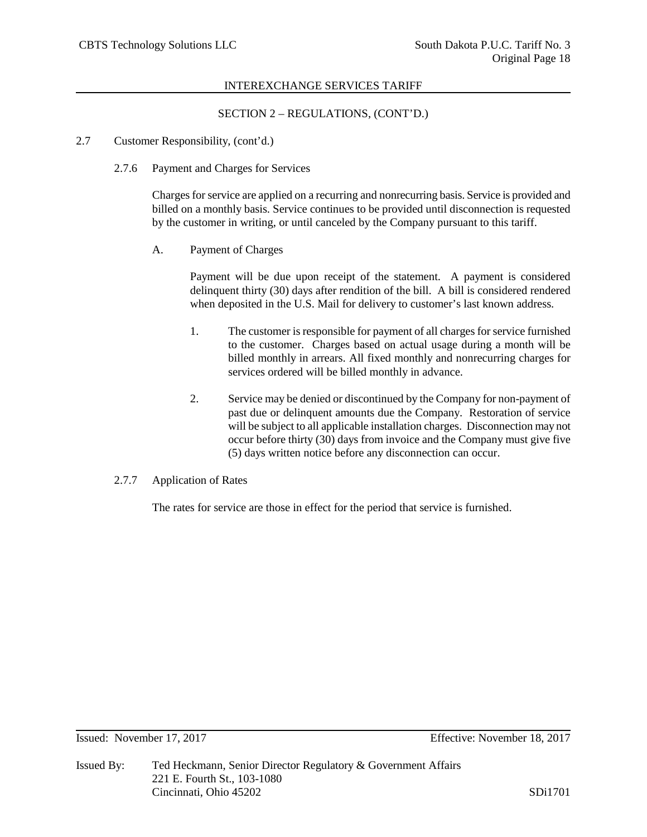# SECTION 2 – REGULATIONS, (CONT'D.)

- 2.7 Customer Responsibility, (cont'd.)
	- 2.7.6 Payment and Charges for Services

Charges for service are applied on a recurring and nonrecurring basis. Service is provided and billed on a monthly basis. Service continues to be provided until disconnection is requested by the customer in writing, or until canceled by the Company pursuant to this tariff.

A. Payment of Charges

Payment will be due upon receipt of the statement. A payment is considered delinquent thirty (30) days after rendition of the bill. A bill is considered rendered when deposited in the U.S. Mail for delivery to customer's last known address.

- 1. The customer is responsible for payment of all charges for service furnished to the customer. Charges based on actual usage during a month will be billed monthly in arrears. All fixed monthly and nonrecurring charges for services ordered will be billed monthly in advance.
- 2. Service may be denied or discontinued by the Company for non-payment of past due or delinquent amounts due the Company. Restoration of service will be subject to all applicable installation charges. Disconnection may not occur before thirty (30) days from invoice and the Company must give five (5) days written notice before any disconnection can occur.
- 2.7.7 Application of Rates

The rates for service are those in effect for the period that service is furnished.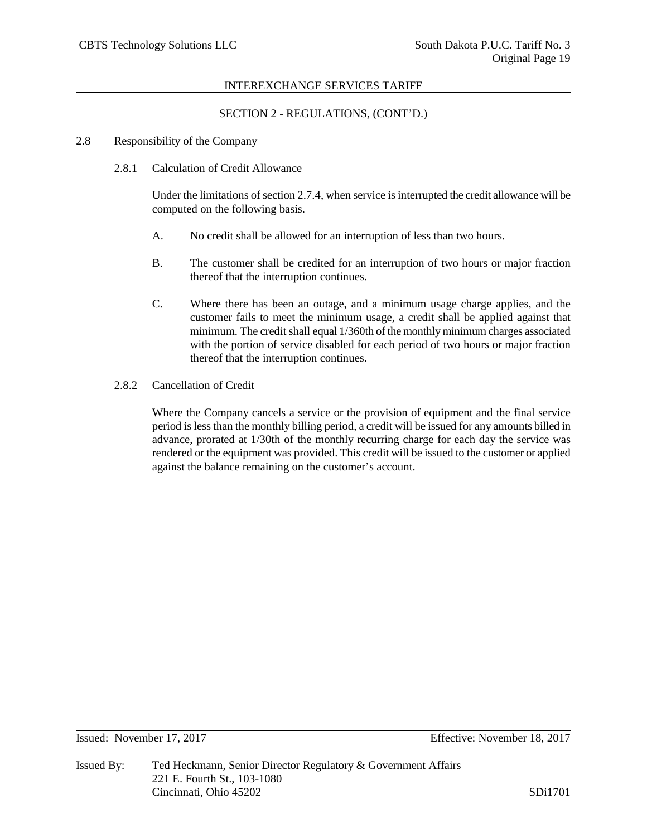# SECTION 2 - REGULATIONS, (CONT'D.)

#### 2.8 Responsibility of the Company

2.8.1 Calculation of Credit Allowance

Under the limitations of section 2.7.4, when service is interrupted the credit allowance will be computed on the following basis.

- A. No credit shall be allowed for an interruption of less than two hours.
- B. The customer shall be credited for an interruption of two hours or major fraction thereof that the interruption continues.
- C. Where there has been an outage, and a minimum usage charge applies, and the customer fails to meet the minimum usage, a credit shall be applied against that minimum. The credit shall equal 1/360th of the monthly minimum charges associated with the portion of service disabled for each period of two hours or major fraction thereof that the interruption continues.
- 2.8.2 Cancellation of Credit

Where the Company cancels a service or the provision of equipment and the final service period is less than the monthly billing period, a credit will be issued for any amounts billed in advance, prorated at 1/30th of the monthly recurring charge for each day the service was rendered or the equipment was provided. This credit will be issued to the customer or applied against the balance remaining on the customer's account.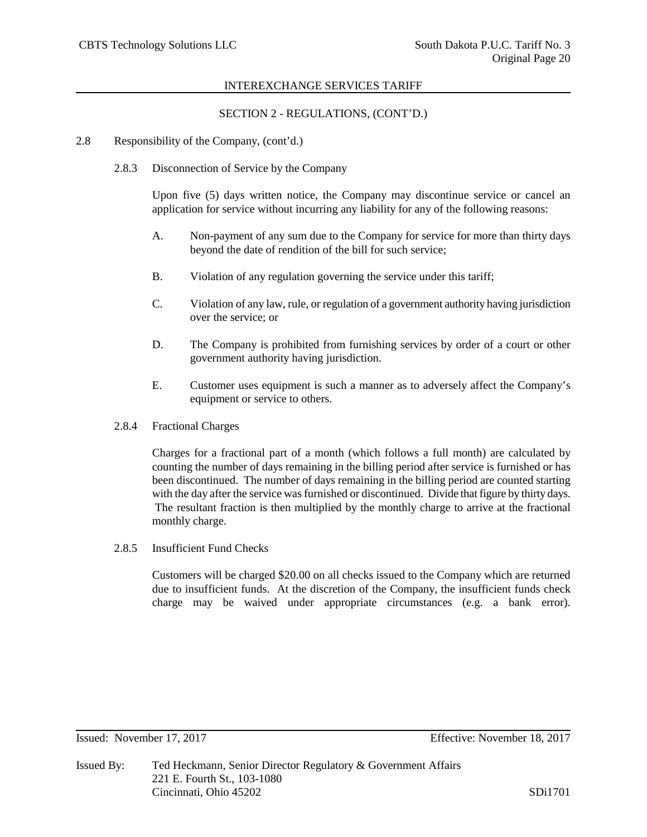## SECTION 2 - REGULATIONS, (CONT'D.)

- 2.8 Responsibility of the Company, (cont'd.)
	- 2.8.3 Disconnection of Service by the Company

Upon five (5) days written notice, the Company may discontinue service or cancel an application for service without incurring any liability for any of the following reasons:

- A. Non-payment of any sum due to the Company for service for more than thirty days beyond the date of rendition of the bill for such service;
- B. Violation of any regulation governing the service under this tariff;
- C. Violation of any law, rule, or regulation of a government authority having jurisdiction over the service; or
- D. The Company is prohibited from furnishing services by order of a court or other government authority having jurisdiction.
- E. Customer uses equipment is such a manner as to adversely affect the Company's equipment or service to others.
- 2.8.4 Fractional Charges

Charges for a fractional part of a month (which follows a full month) are calculated by counting the number of days remaining in the billing period after service is furnished or has been discontinued. The number of days remaining in the billing period are counted starting with the day after the service was furnished or discontinued. Divide that figure by thirty days. The resultant fraction is then multiplied by the monthly charge to arrive at the fractional monthly charge.

2.8.5 Insufficient Fund Checks

Customers will be charged \$20.00 on all checks issued to the Company which are returned due to insufficient funds. At the discretion of the Company, the insufficient funds check charge may be waived under appropriate circumstances (e.g. a bank error).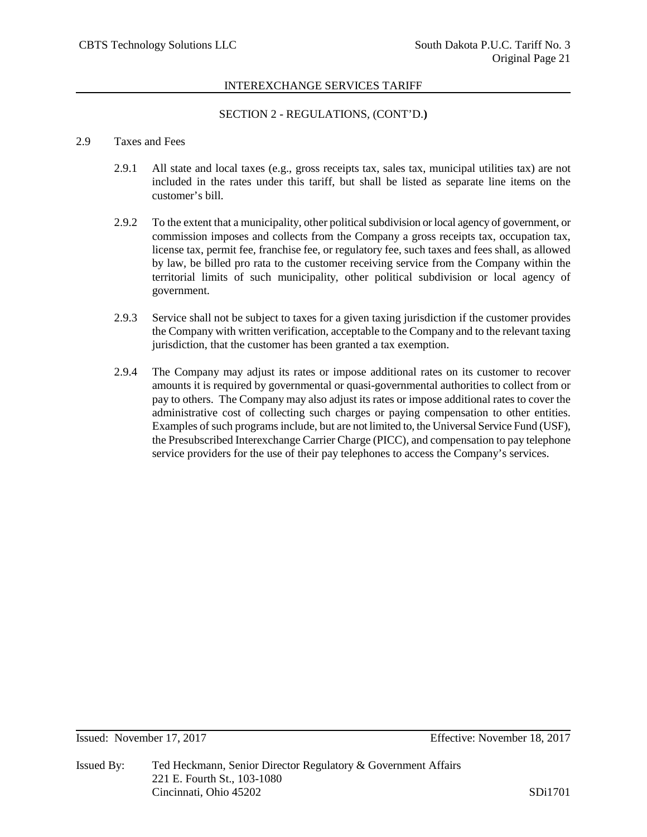# SECTION 2 - REGULATIONS, (CONT'D.**)**

#### 2.9 Taxes and Fees

- 2.9.1 All state and local taxes (e.g., gross receipts tax, sales tax, municipal utilities tax) are not included in the rates under this tariff, but shall be listed as separate line items on the customer's bill.
- 2.9.2 To the extent that a municipality, other political subdivision or local agency of government, or commission imposes and collects from the Company a gross receipts tax, occupation tax, license tax, permit fee, franchise fee, or regulatory fee, such taxes and fees shall, as allowed by law, be billed pro rata to the customer receiving service from the Company within the territorial limits of such municipality, other political subdivision or local agency of government.
- 2.9.3 Service shall not be subject to taxes for a given taxing jurisdiction if the customer provides the Company with written verification, acceptable to the Company and to the relevant taxing jurisdiction, that the customer has been granted a tax exemption.
- 2.9.4 The Company may adjust its rates or impose additional rates on its customer to recover amounts it is required by governmental or quasi-governmental authorities to collect from or pay to others. The Company may also adjust its rates or impose additional rates to cover the administrative cost of collecting such charges or paying compensation to other entities. Examples of such programs include, but are not limited to, the Universal Service Fund (USF), the Presubscribed Interexchange Carrier Charge (PICC), and compensation to pay telephone service providers for the use of their pay telephones to access the Company's services.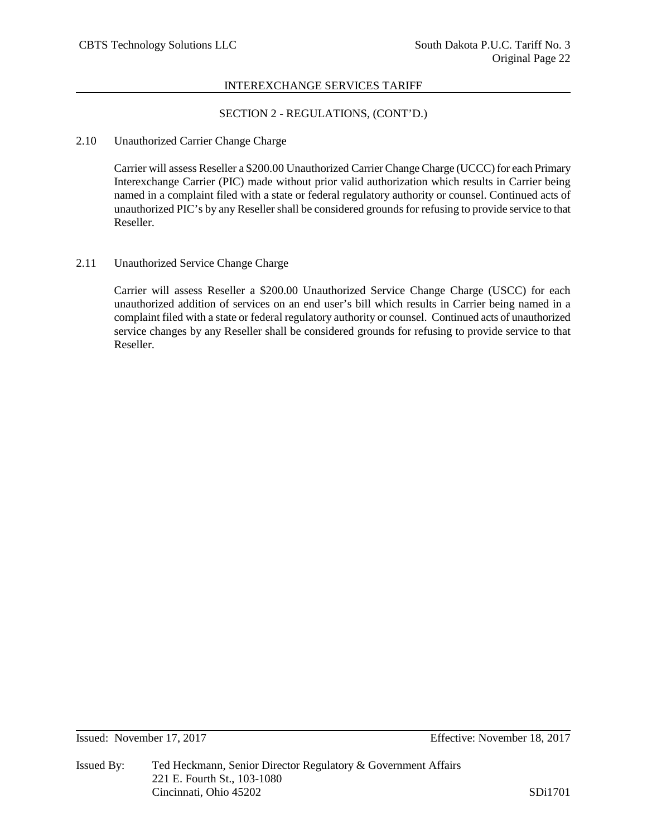# SECTION 2 - REGULATIONS, (CONT'D.)

## 2.10 Unauthorized Carrier Change Charge

Carrier will assess Reseller a \$200.00 Unauthorized Carrier Change Charge (UCCC) for each Primary Interexchange Carrier (PIC) made without prior valid authorization which results in Carrier being named in a complaint filed with a state or federal regulatory authority or counsel. Continued acts of unauthorized PIC's by any Reseller shall be considered grounds for refusing to provide service to that Reseller.

# 2.11 Unauthorized Service Change Charge

Carrier will assess Reseller a \$200.00 Unauthorized Service Change Charge (USCC) for each unauthorized addition of services on an end user's bill which results in Carrier being named in a complaint filed with a state or federal regulatory authority or counsel. Continued acts of unauthorized service changes by any Reseller shall be considered grounds for refusing to provide service to that Reseller.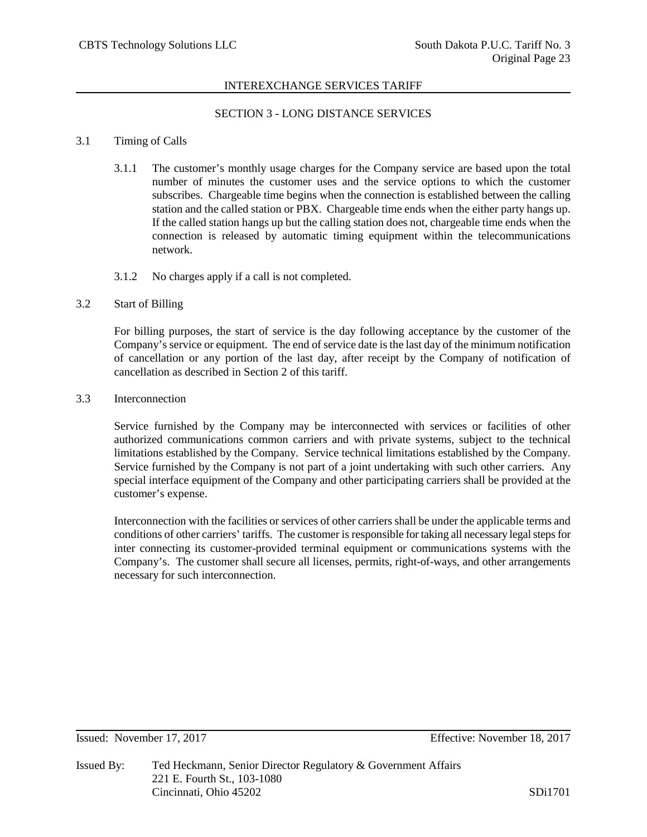# SECTION 3 - LONG DISTANCE SERVICES

#### 3.1 Timing of Calls

- 3.1.1 The customer's monthly usage charges for the Company service are based upon the total number of minutes the customer uses and the service options to which the customer subscribes. Chargeable time begins when the connection is established between the calling station and the called station or PBX. Chargeable time ends when the either party hangs up. If the called station hangs up but the calling station does not, chargeable time ends when the connection is released by automatic timing equipment within the telecommunications network.
- 3.1.2 No charges apply if a call is not completed.

## 3.2 Start of Billing

For billing purposes, the start of service is the day following acceptance by the customer of the Company's service or equipment. The end of service date is the last day of the minimum notification of cancellation or any portion of the last day, after receipt by the Company of notification of cancellation as described in Section 2 of this tariff.

3.3 Interconnection

Service furnished by the Company may be interconnected with services or facilities of other authorized communications common carriers and with private systems, subject to the technical limitations established by the Company. Service technical limitations established by the Company. Service furnished by the Company is not part of a joint undertaking with such other carriers. Any special interface equipment of the Company and other participating carriers shall be provided at the customer's expense.

Interconnection with the facilities or services of other carriers shall be under the applicable terms and conditions of other carriers' tariffs. The customer is responsible for taking all necessary legal steps for inter connecting its customer-provided terminal equipment or communications systems with the Company's. The customer shall secure all licenses, permits, right-of-ways, and other arrangements necessary for such interconnection.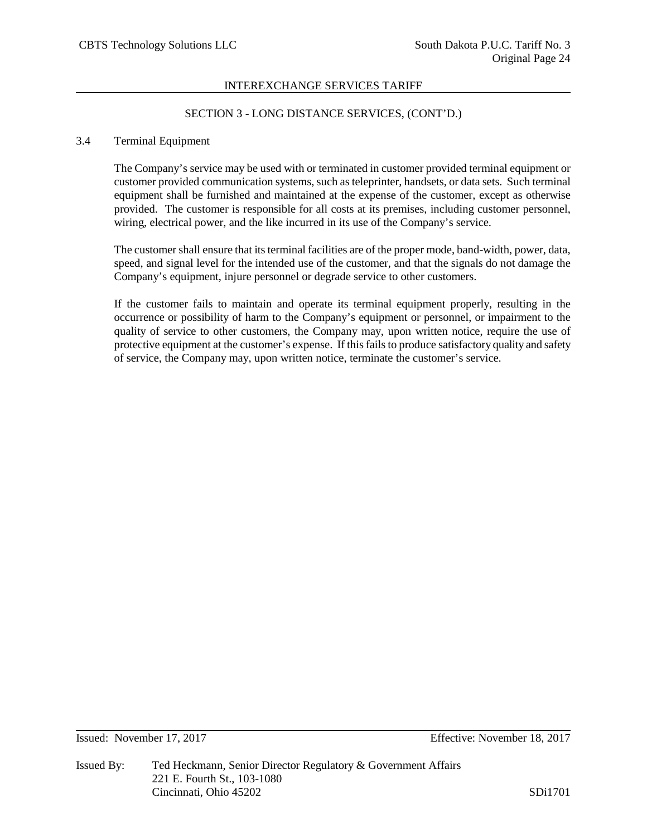## SECTION 3 - LONG DISTANCE SERVICES, (CONT'D.)

#### 3.4 Terminal Equipment

The Company's service may be used with or terminated in customer provided terminal equipment or customer provided communication systems, such as teleprinter, handsets, or data sets. Such terminal equipment shall be furnished and maintained at the expense of the customer, except as otherwise provided. The customer is responsible for all costs at its premises, including customer personnel, wiring, electrical power, and the like incurred in its use of the Company's service.

The customer shall ensure that its terminal facilities are of the proper mode, band-width, power, data, speed, and signal level for the intended use of the customer, and that the signals do not damage the Company's equipment, injure personnel or degrade service to other customers.

If the customer fails to maintain and operate its terminal equipment properly, resulting in the occurrence or possibility of harm to the Company's equipment or personnel, or impairment to the quality of service to other customers, the Company may, upon written notice, require the use of protective equipment at the customer's expense. If this fails to produce satisfactory quality and safety of service, the Company may, upon written notice, terminate the customer's service.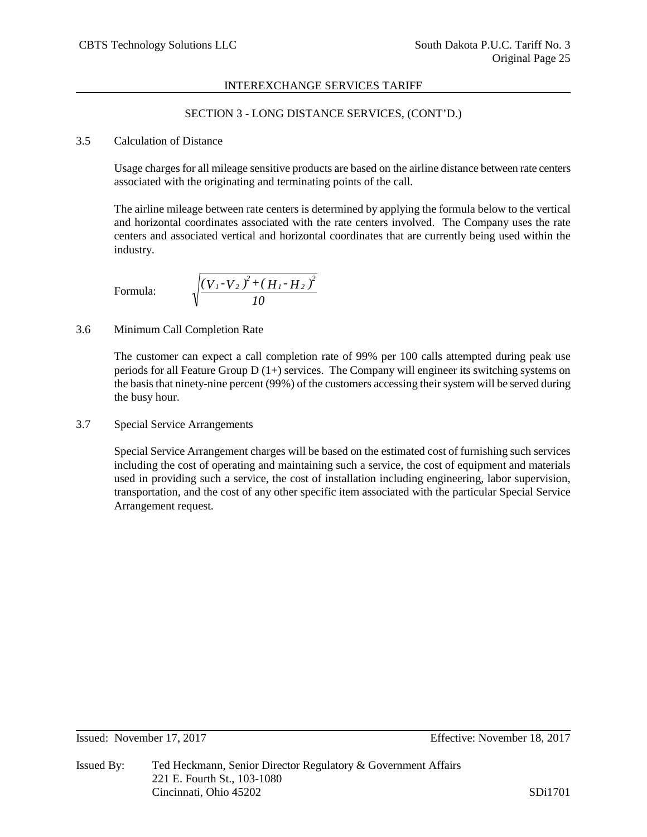# SECTION 3 - LONG DISTANCE SERVICES, (CONT'D.)

#### 3.5 Calculation of Distance

Usage charges for all mileage sensitive products are based on the airline distance between rate centers associated with the originating and terminating points of the call.

The airline mileage between rate centers is determined by applying the formula below to the vertical and horizontal coordinates associated with the rate centers involved. The Company uses the rate centers and associated vertical and horizontal coordinates that are currently being used within the industry.

Formula:

$$
\sqrt{\frac{(V_{1}-V_{2})^{2}+(H_{1}-H_{2})^{2}}{10}}
$$

# 3.6 Minimum Call Completion Rate

The customer can expect a call completion rate of 99% per 100 calls attempted during peak use periods for all Feature Group  $D(1+)$  services. The Company will engineer its switching systems on the basis that ninety-nine percent (99%) of the customers accessing their system will be served during the busy hour.

3.7 Special Service Arrangements

Special Service Arrangement charges will be based on the estimated cost of furnishing such services including the cost of operating and maintaining such a service, the cost of equipment and materials used in providing such a service, the cost of installation including engineering, labor supervision, transportation, and the cost of any other specific item associated with the particular Special Service Arrangement request.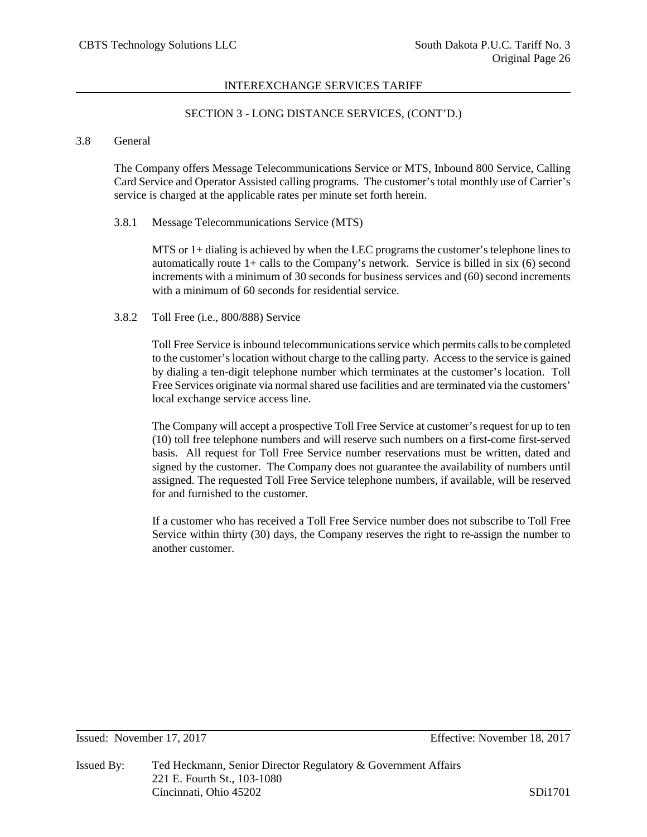## SECTION 3 - LONG DISTANCE SERVICES, (CONT'D.)

## 3.8 General

The Company offers Message Telecommunications Service or MTS, Inbound 800 Service, Calling Card Service and Operator Assisted calling programs. The customer's total monthly use of Carrier's service is charged at the applicable rates per minute set forth herein.

#### 3.8.1 Message Telecommunications Service (MTS)

MTS or 1+ dialing is achieved by when the LEC programs the customer's telephone lines to automatically route 1+ calls to the Company's network. Service is billed in six (6) second increments with a minimum of 30 seconds for business services and (60) second increments with a minimum of 60 seconds for residential service.

#### 3.8.2 Toll Free (i.e., 800/888) Service

Toll Free Service is inbound telecommunications service which permits calls to be completed to the customer's location without charge to the calling party. Access to the service is gained by dialing a ten-digit telephone number which terminates at the customer's location. Toll Free Services originate via normal shared use facilities and are terminated via the customers' local exchange service access line.

The Company will accept a prospective Toll Free Service at customer's request for up to ten (10) toll free telephone numbers and will reserve such numbers on a first-come first-served basis. All request for Toll Free Service number reservations must be written, dated and signed by the customer. The Company does not guarantee the availability of numbers until assigned. The requested Toll Free Service telephone numbers, if available, will be reserved for and furnished to the customer.

If a customer who has received a Toll Free Service number does not subscribe to Toll Free Service within thirty (30) days, the Company reserves the right to re-assign the number to another customer.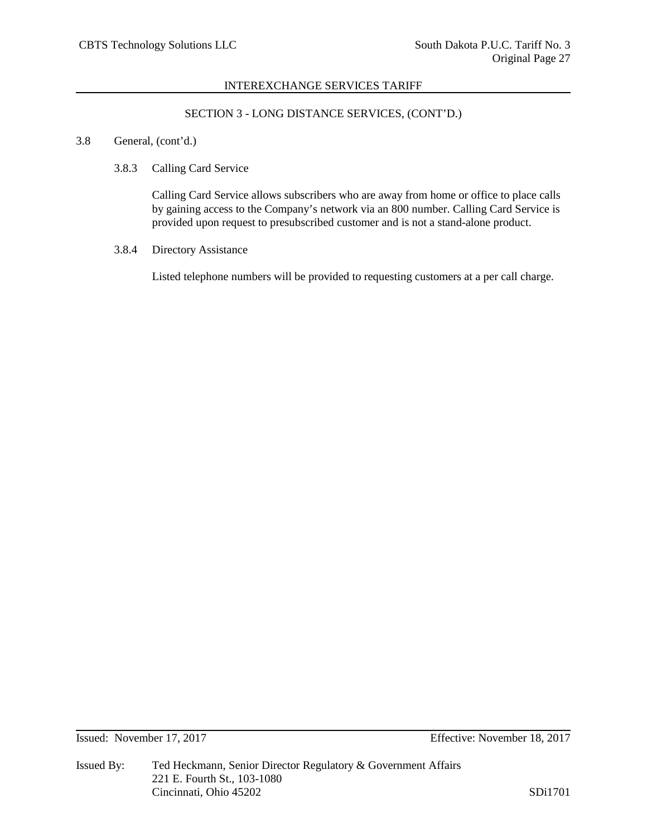# SECTION 3 - LONG DISTANCE SERVICES, (CONT'D.)

# 3.8 General, (cont'd.)

## 3.8.3 Calling Card Service

Calling Card Service allows subscribers who are away from home or office to place calls by gaining access to the Company's network via an 800 number. Calling Card Service is provided upon request to presubscribed customer and is not a stand-alone product.

# 3.8.4 Directory Assistance

Listed telephone numbers will be provided to requesting customers at a per call charge.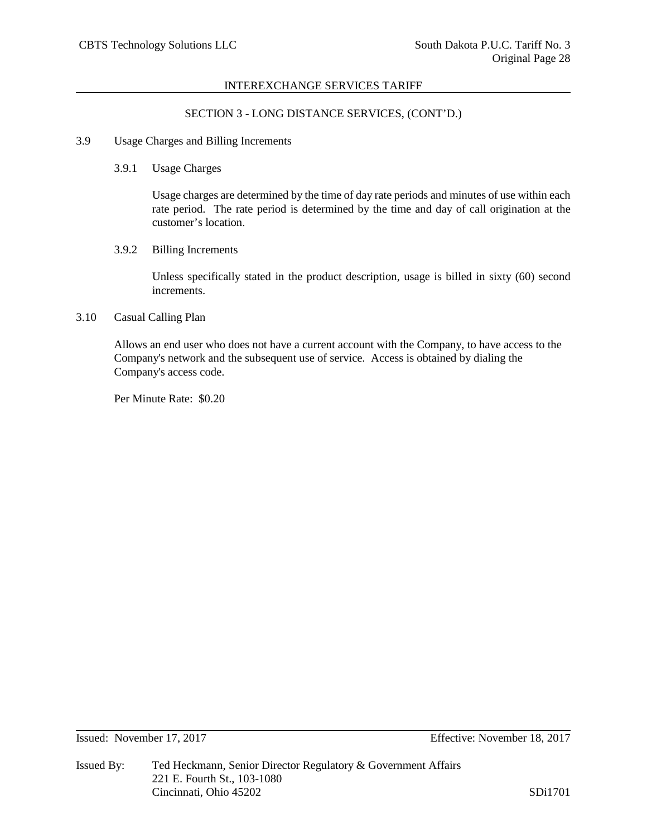## SECTION 3 - LONG DISTANCE SERVICES, (CONT'D.)

# 3.9 Usage Charges and Billing Increments

#### 3.9.1 Usage Charges

Usage charges are determined by the time of day rate periods and minutes of use within each rate period. The rate period is determined by the time and day of call origination at the customer's location.

## 3.9.2 Billing Increments

Unless specifically stated in the product description, usage is billed in sixty (60) second increments.

# 3.10 Casual Calling Plan

Allows an end user who does not have a current account with the Company, to have access to the Company's network and the subsequent use of service. Access is obtained by dialing the Company's access code.

Per Minute Rate: \$0.20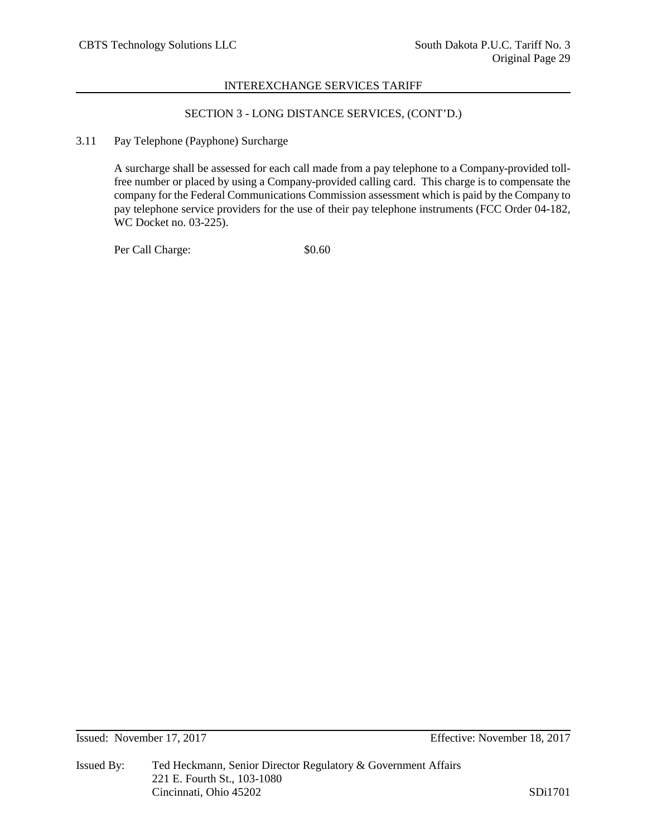# SECTION 3 - LONG DISTANCE SERVICES, (CONT'D.)

## 3.11 Pay Telephone (Payphone) Surcharge

A surcharge shall be assessed for each call made from a pay telephone to a Company-provided tollfree number or placed by using a Company-provided calling card. This charge is to compensate the company for the Federal Communications Commission assessment which is paid by the Company to pay telephone service providers for the use of their pay telephone instruments (FCC Order 04-182, WC Docket no. 03-225).

Per Call Charge:  $$0.60$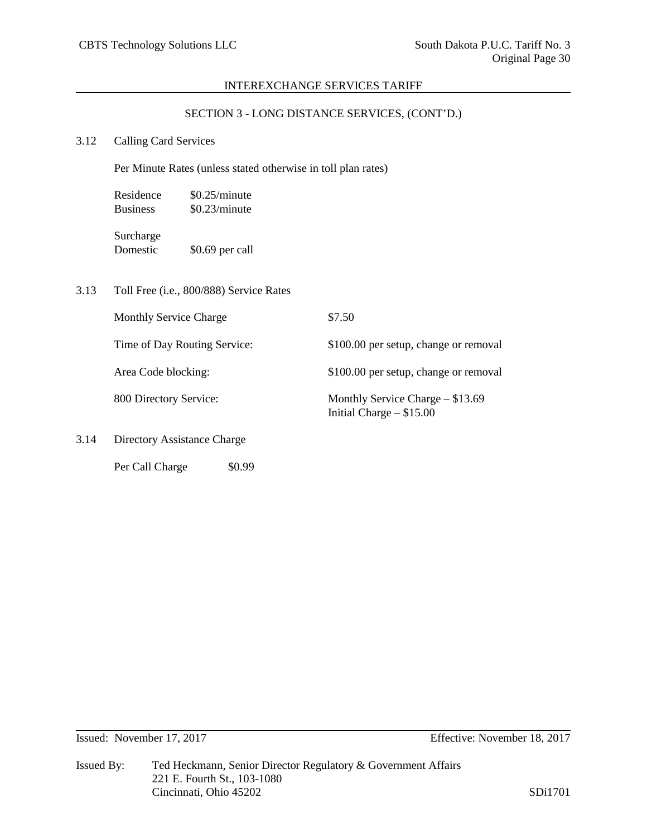# SECTION 3 - LONG DISTANCE SERVICES, (CONT'D.)

# 3.12 Calling Card Services

Per Minute Rates (unless stated otherwise in toll plan rates)

| Residence       | \$0.25/minute |
|-----------------|---------------|
| <b>Business</b> | \$0.23/minute |
| Surcharge       |               |

Domestic \$0.69 per call

3.13 Toll Free (i.e., 800/888) Service Rates

Per Call Charge  $$0.99$ 

|      | <b>Monthly Service Charge</b> | \$7.50                                                           |
|------|-------------------------------|------------------------------------------------------------------|
|      | Time of Day Routing Service:  | \$100.00 per setup, change or removal                            |
|      | Area Code blocking:           | \$100.00 per setup, change or removal                            |
|      | 800 Directory Service:        | Monthly Service Charge $-$ \$13.69<br>Initial Charge $-$ \$15.00 |
| 3.14 | Directory Assistance Charge   |                                                                  |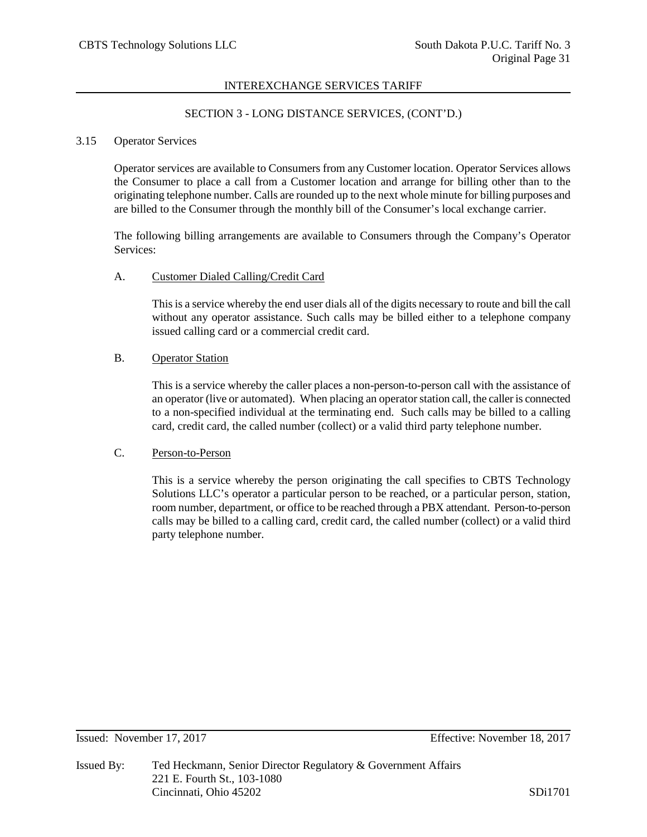## SECTION 3 - LONG DISTANCE SERVICES, (CONT'D.)

## 3.15 Operator Services

Operator services are available to Consumers from any Customer location. Operator Services allows the Consumer to place a call from a Customer location and arrange for billing other than to the originating telephone number. Calls are rounded up to the next whole minute for billing purposes and are billed to the Consumer through the monthly bill of the Consumer's local exchange carrier.

The following billing arrangements are available to Consumers through the Company's Operator Services:

#### A. Customer Dialed Calling/Credit Card

This is a service whereby the end user dials all of the digits necessary to route and bill the call without any operator assistance. Such calls may be billed either to a telephone company issued calling card or a commercial credit card.

#### B. Operator Station

This is a service whereby the caller places a non-person-to-person call with the assistance of an operator (live or automated). When placing an operator station call, the caller is connected to a non-specified individual at the terminating end. Such calls may be billed to a calling card, credit card, the called number (collect) or a valid third party telephone number.

## C. Person-to-Person

This is a service whereby the person originating the call specifies to CBTS Technology Solutions LLC's operator a particular person to be reached, or a particular person, station, room number, department, or office to be reached through a PBX attendant. Person-to-person calls may be billed to a calling card, credit card, the called number (collect) or a valid third party telephone number.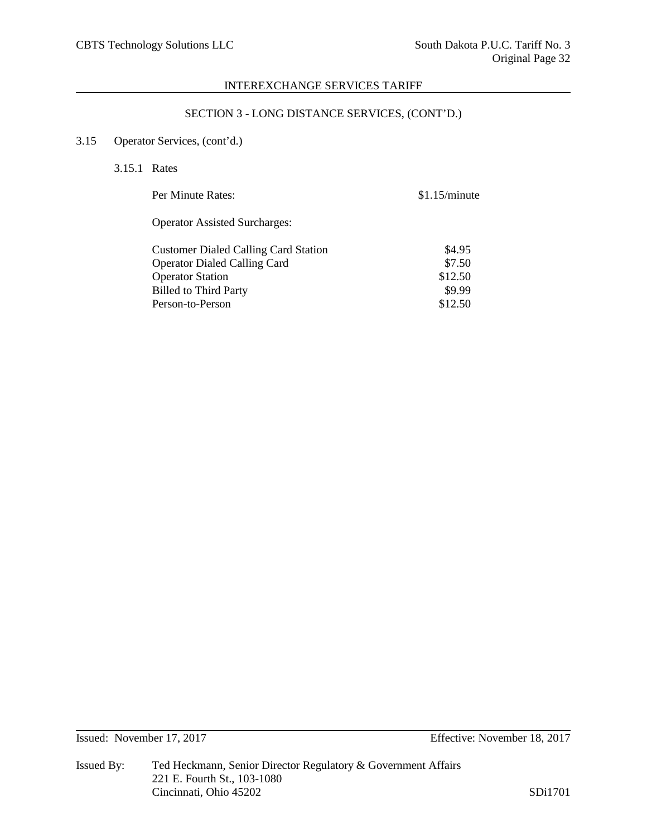# SECTION 3 - LONG DISTANCE SERVICES, (CONT'D.)

# 3.15 Operator Services, (cont'd.)

3.15.1 Rates

| Per Minute Rates:                           | \$1.15/minute |
|---------------------------------------------|---------------|
| <b>Operator Assisted Surcharges:</b>        |               |
| <b>Customer Dialed Calling Card Station</b> | \$4.95        |
| <b>Operator Dialed Calling Card</b>         | \$7.50        |
| <b>Operator Station</b>                     | \$12.50       |
| <b>Billed to Third Party</b>                | \$9.99        |
| Person-to-Person                            | \$12.50       |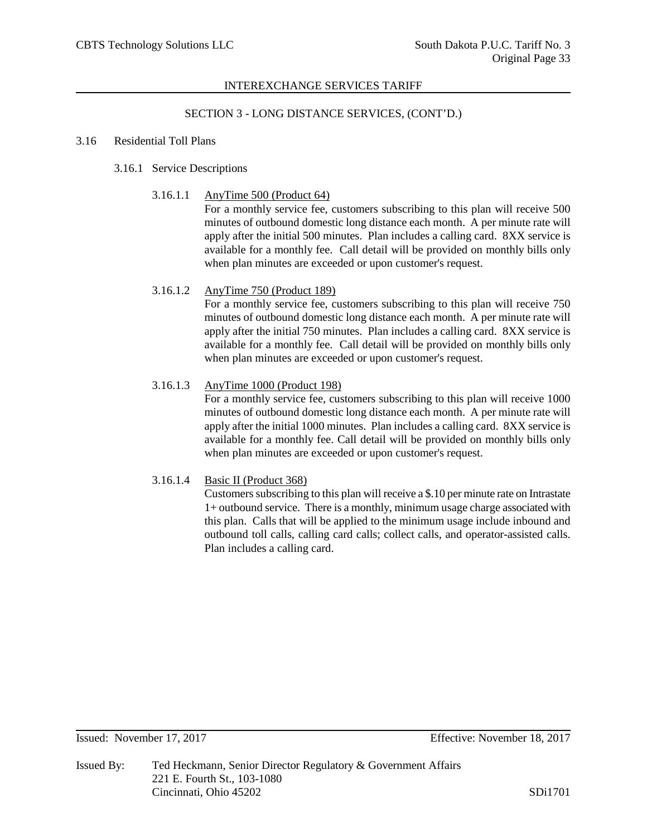## SECTION 3 - LONG DISTANCE SERVICES, (CONT'D.)

#### 3.16 Residential Toll Plans

# 3.16.1 Service Descriptions

3.16.1.1 AnyTime 500 (Product 64)

For a monthly service fee, customers subscribing to this plan will receive 500 minutes of outbound domestic long distance each month. A per minute rate will apply after the initial 500 minutes. Plan includes a calling card. 8XX service is available for a monthly fee. Call detail will be provided on monthly bills only when plan minutes are exceeded or upon customer's request.

# 3.16.1.2 AnyTime 750 (Product 189)

For a monthly service fee, customers subscribing to this plan will receive 750 minutes of outbound domestic long distance each month. A per minute rate will apply after the initial 750 minutes. Plan includes a calling card. 8XX service is available for a monthly fee. Call detail will be provided on monthly bills only when plan minutes are exceeded or upon customer's request.

## 3.16.1.3 AnyTime 1000 (Product 198)

For a monthly service fee, customers subscribing to this plan will receive 1000 minutes of outbound domestic long distance each month. A per minute rate will apply after the initial 1000 minutes. Plan includes a calling card. 8XX service is available for a monthly fee. Call detail will be provided on monthly bills only when plan minutes are exceeded or upon customer's request.

#### 3.16.1.4 Basic II (Product 368)

Customers subscribing to this plan will receive a \$.10 per minute rate on Intrastate 1+ outbound service. There is a monthly, minimum usage charge associated with this plan. Calls that will be applied to the minimum usage include inbound and outbound toll calls, calling card calls; collect calls, and operator-assisted calls. Plan includes a calling card.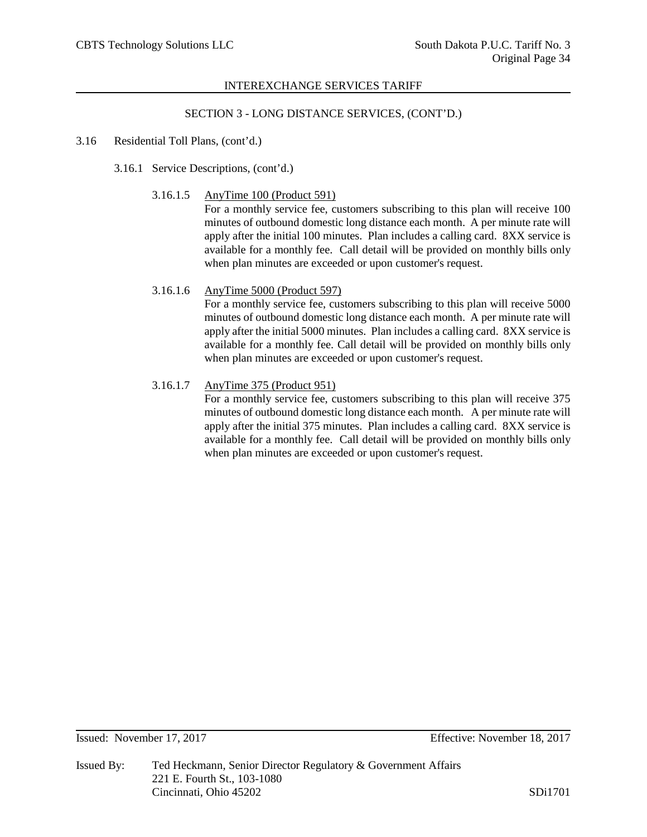# SECTION 3 - LONG DISTANCE SERVICES, (CONT'D.)

#### 3.16 Residential Toll Plans, (cont'd.)

- 3.16.1 Service Descriptions, (cont'd.)
	- 3.16.1.5 AnyTime 100 (Product 591)

For a monthly service fee, customers subscribing to this plan will receive 100 minutes of outbound domestic long distance each month. A per minute rate will apply after the initial 100 minutes. Plan includes a calling card. 8XX service is available for a monthly fee. Call detail will be provided on monthly bills only when plan minutes are exceeded or upon customer's request.

## 3.16.1.6 AnyTime 5000 (Product 597)

For a monthly service fee, customers subscribing to this plan will receive 5000 minutes of outbound domestic long distance each month. A per minute rate will apply after the initial 5000 minutes. Plan includes a calling card. 8XX service is available for a monthly fee. Call detail will be provided on monthly bills only when plan minutes are exceeded or upon customer's request.

## 3.16.1.7 AnyTime 375 (Product 951)

For a monthly service fee, customers subscribing to this plan will receive 375 minutes of outbound domestic long distance each month. A per minute rate will apply after the initial 375 minutes. Plan includes a calling card. 8XX service is available for a monthly fee. Call detail will be provided on monthly bills only when plan minutes are exceeded or upon customer's request.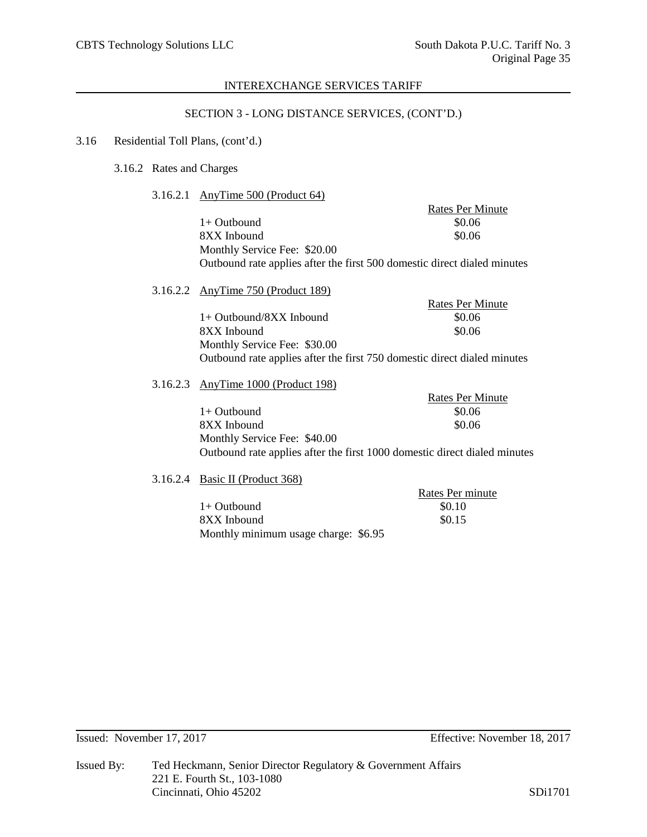## SECTION 3 - LONG DISTANCE SERVICES, (CONT'D.)

# 3.16 Residential Toll Plans, (cont'd.)

## 3.16.2 Rates and Charges

3.16.2.1 AnyTime 500 (Product 64)

|  |                                                                          | <b>Rates Per Minute</b> |
|--|--------------------------------------------------------------------------|-------------------------|
|  | $1+$ Outbound                                                            | \$0.06                  |
|  | 8XX Inbound                                                              | \$0.06                  |
|  | Monthly Service Fee: \$20.00                                             |                         |
|  | Outbound rate applies after the first 500 domestic direct dialed minutes |                         |
|  | 3.16.2.2 AnyTime 750 (Product 189)                                       |                         |
|  |                                                                          | <b>Rates Per Minute</b> |
|  | $1+$ Outbound/8XX Inbound                                                | \$0.06                  |
|  | 8XX Inbound                                                              | \$0.06                  |
|  | Monthly Service Fee: \$30.00                                             |                         |
|  | Outbound rate applies after the first 750 domestic direct dialed minutes |                         |

#### 3.16.2.3 AnyTime 1000 (Product 198)

| $\ldots$ , $\ldots$ $\ldots$ $\ldots$ . $\ldots$                          |                         |
|---------------------------------------------------------------------------|-------------------------|
|                                                                           | <b>Rates Per Minute</b> |
| $1+$ Outbound                                                             | \$0.06                  |
| 8XX Inbound                                                               | \$0.06                  |
| Monthly Service Fee: \$40.00                                              |                         |
| Outbound rate applies after the first 1000 domestic direct dialed minutes |                         |

3.16.2.4 Basic II (Product 368)

|                                      | Rates Per minute |
|--------------------------------------|------------------|
| $1+$ Outbound                        | \$0.10           |
| 8XX Inbound                          | \$0.15           |
| Monthly minimum usage charge: \$6.95 |                  |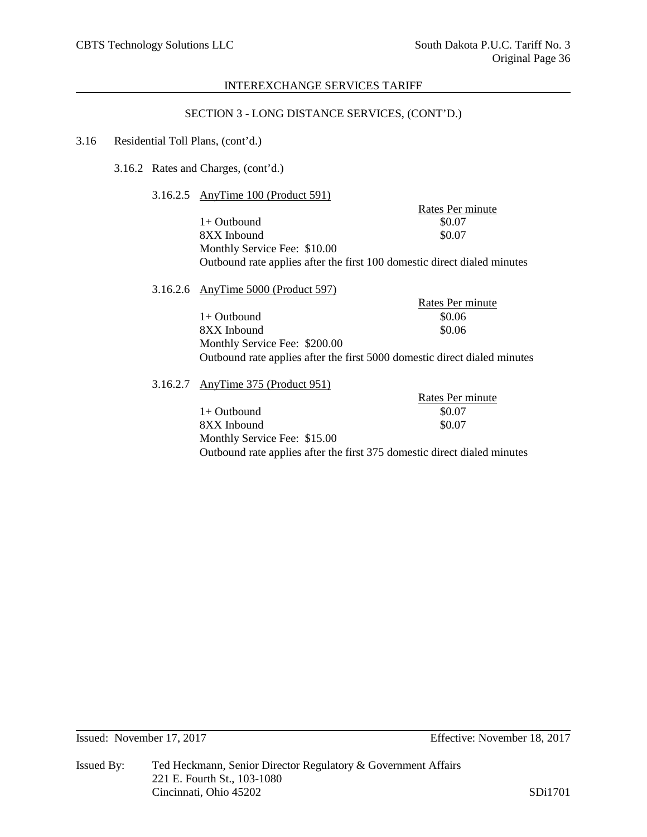#### SECTION 3 - LONG DISTANCE SERVICES, (CONT'D.)

#### 3.16 Residential Toll Plans, (cont'd.)

3.16.2 Rates and Charges, (cont'd.)

3.16.2.5 AnyTime 100 (Product 591)

Rates Per minute  $1+$  Outbound  $$0.07$  $8XX$  Inbound  $$0.07$ Monthly Service Fee: \$10.00 Outbound rate applies after the first 100 domestic direct dialed minutes

3.16.2.6 AnyTime 5000 (Product 597) Rates Per minute  $1+$  Outbound  $$0.06$  $8XX$  Inbound  $$0.06$ Monthly Service Fee: \$200.00 Outbound rate applies after the first 5000 domestic direct dialed minutes

3.16.2.7 AnyTime 375 (Product 951)

Rates Per minute  $1+$  Outbound  $$0.07$ 8XX Inbound \$0.07 Monthly Service Fee: \$15.00 Outbound rate applies after the first 375 domestic direct dialed minutes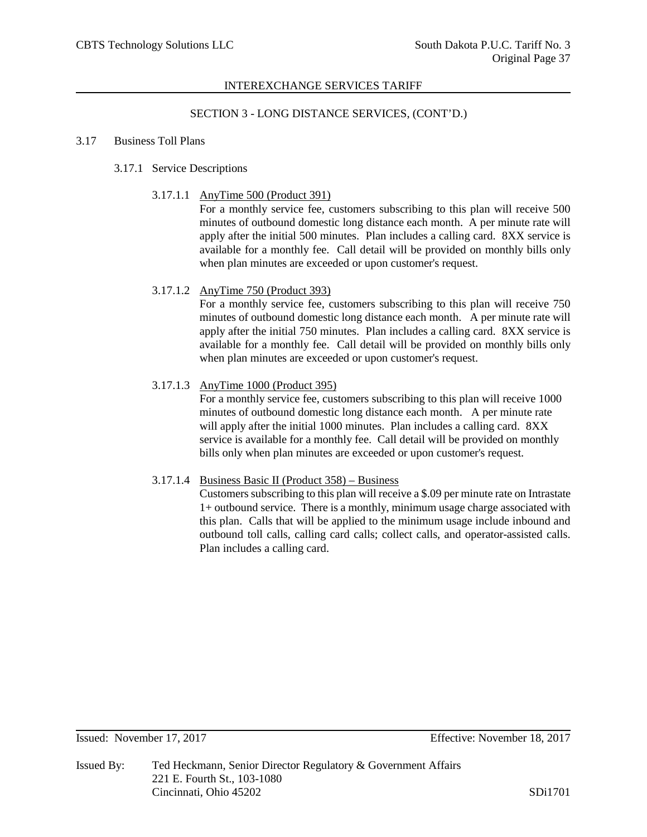#### SECTION 3 - LONG DISTANCE SERVICES, (CONT'D.)

#### 3.17 Business Toll Plans

# 3.17.1 Service Descriptions

3.17.1.1 AnyTime 500 (Product 391)

For a monthly service fee, customers subscribing to this plan will receive 500 minutes of outbound domestic long distance each month. A per minute rate will apply after the initial 500 minutes. Plan includes a calling card. 8XX service is available for a monthly fee. Call detail will be provided on monthly bills only when plan minutes are exceeded or upon customer's request.

## 3.17.1.2 AnyTime 750 (Product 393)

For a monthly service fee, customers subscribing to this plan will receive 750 minutes of outbound domestic long distance each month. A per minute rate will apply after the initial 750 minutes. Plan includes a calling card. 8XX service is available for a monthly fee. Call detail will be provided on monthly bills only when plan minutes are exceeded or upon customer's request.

## 3.17.1.3 AnyTime 1000 (Product 395)

For a monthly service fee, customers subscribing to this plan will receive 1000 minutes of outbound domestic long distance each month. A per minute rate will apply after the initial 1000 minutes. Plan includes a calling card.  $8XX$ service is available for a monthly fee. Call detail will be provided on monthly bills only when plan minutes are exceeded or upon customer's request.

# 3.17.1.4 Business Basic II (Product 358) – Business

Customers subscribing to this plan will receive a \$.09 per minute rate on Intrastate 1+ outbound service. There is a monthly, minimum usage charge associated with this plan. Calls that will be applied to the minimum usage include inbound and outbound toll calls, calling card calls; collect calls, and operator-assisted calls. Plan includes a calling card.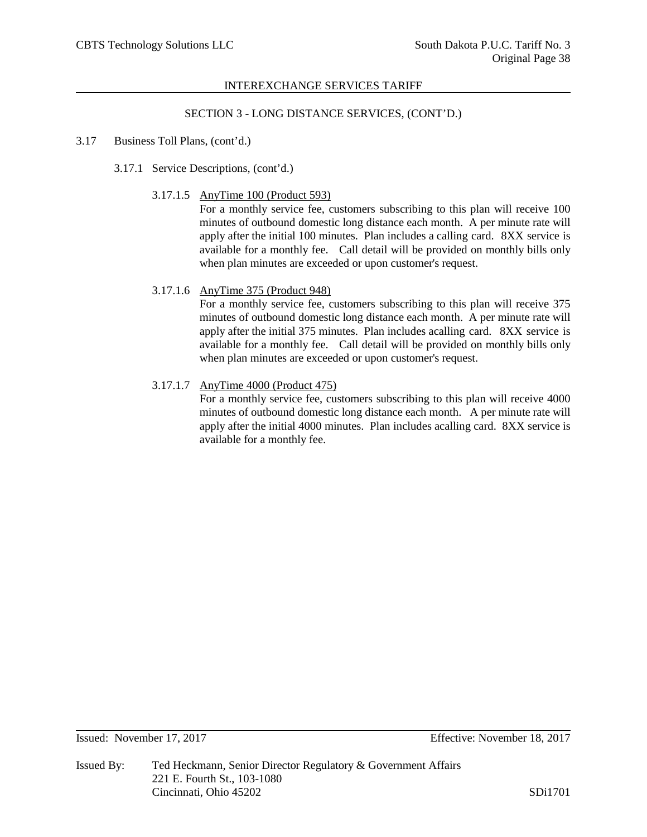#### SECTION 3 - LONG DISTANCE SERVICES, (CONT'D.)

#### 3.17 Business Toll Plans, (cont'd.)

- 3.17.1 Service Descriptions, (cont'd.)
	- 3.17.1.5 AnyTime 100 (Product 593)

For a monthly service fee, customers subscribing to this plan will receive 100 minutes of outbound domestic long distance each month. A per minute rate will apply after the initial 100 minutes. Plan includes a calling card. 8XX service is available for a monthly fee. Call detail will be provided on monthly bills only when plan minutes are exceeded or upon customer's request.

## 3.17.1.6 AnyTime 375 (Product 948)

For a monthly service fee, customers subscribing to this plan will receive 375 minutes of outbound domestic long distance each month. A per minute rate will apply after the initial 375 minutes. Plan includes acalling card. 8XX service is available for a monthly fee. Call detail will be provided on monthly bills only when plan minutes are exceeded or upon customer's request.

## 3.17.1.7 AnyTime 4000 (Product 475)

For a monthly service fee, customers subscribing to this plan will receive 4000 minutes of outbound domestic long distance each month. A per minute rate will apply after the initial 4000 minutes. Plan includes acalling card. 8XX service is available for a monthly fee.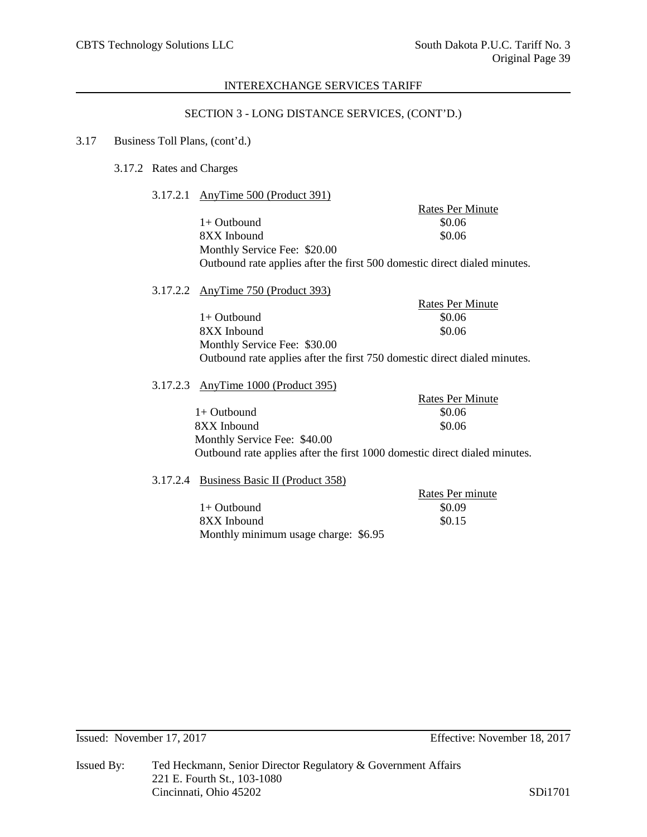#### SECTION 3 - LONG DISTANCE SERVICES, (CONT'D.)

## 3.17 Business Toll Plans, (cont'd.)

# 3.17.2 Rates and Charges

3.17.2.1 AnyTime 500 (Product 391)

|                                                                           | Rates Per Minute |  |
|---------------------------------------------------------------------------|------------------|--|
| $1+$ Outbound                                                             | \$0.06           |  |
| 8XX Inbound                                                               | \$0.06           |  |
| Monthly Service Fee: \$20.00                                              |                  |  |
| Outbound rate applies after the first 500 domestic direct dialed minutes. |                  |  |
|                                                                           |                  |  |

3.17.2.2 AnyTime 750 (Product 393)

Rates Per Minute  $1+$  Outbound  $$0.06$ 8XX Inbound \$0.06 Monthly Service Fee: \$30.00 Outbound rate applies after the first 750 domestic direct dialed minutes.

#### 3.17.2.3 AnyTime 1000 (Product 395)

Rates Per Minute  $1+$  Outbound  $$0.06$ 8XX Inbound \$0.06 Monthly Service Fee: \$40.00 Outbound rate applies after the first 1000 domestic direct dialed minutes.

# 3.17.2.4 Business Basic II (Product 358)

|                                      | Rates Per minute |
|--------------------------------------|------------------|
| $1+$ Outbound                        | \$0.09           |
| 8XX Inbound                          | \$0.15           |
| Monthly minimum usage charge: \$6.95 |                  |